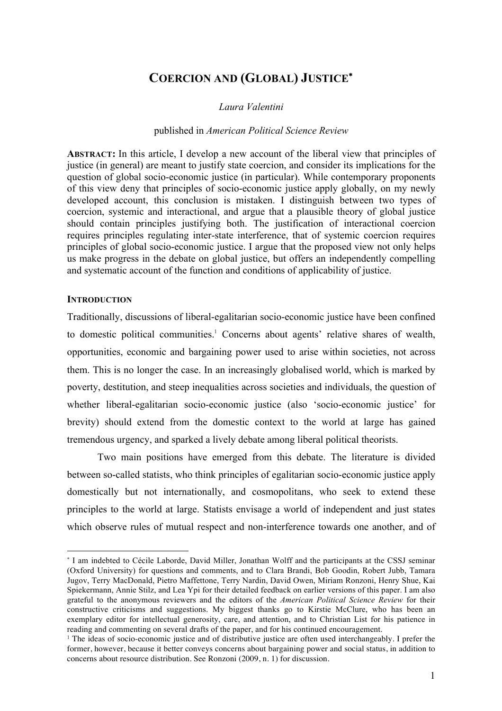# **COERCION AND (GLOBAL) JUSTICE**<sup>∗</sup>

# *Laura Valentini*

### published in *American Political Science Review*

**ABSTRACT:** In this article, I develop a new account of the liberal view that principles of justice (in general) are meant to justify state coercion, and consider its implications for the question of global socio-economic justice (in particular). While contemporary proponents of this view deny that principles of socio-economic justice apply globally, on my newly developed account, this conclusion is mistaken. I distinguish between two types of coercion, systemic and interactional, and argue that a plausible theory of global justice should contain principles justifying both. The justification of interactional coercion requires principles regulating inter-state interference, that of systemic coercion requires principles of global socio-economic justice. I argue that the proposed view not only helps us make progress in the debate on global justice, but offers an independently compelling and systematic account of the function and conditions of applicability of justice.

## **INTRODUCTION**

 $\overline{a}$ 

Traditionally, discussions of liberal-egalitarian socio-economic justice have been confined to domestic political communities.<sup>1</sup> Concerns about agents' relative shares of wealth, opportunities, economic and bargaining power used to arise within societies, not across them. This is no longer the case. In an increasingly globalised world, which is marked by poverty, destitution, and steep inequalities across societies and individuals, the question of whether liberal-egalitarian socio-economic justice (also 'socio-economic justice' for brevity) should extend from the domestic context to the world at large has gained tremendous urgency, and sparked a lively debate among liberal political theorists.

Two main positions have emerged from this debate. The literature is divided between so-called statists, who think principles of egalitarian socio-economic justice apply domestically but not internationally, and cosmopolitans, who seek to extend these principles to the world at large. Statists envisage a world of independent and just states which observe rules of mutual respect and non-interference towards one another, and of

<sup>∗</sup> I am indebted to Cécile Laborde, David Miller, Jonathan Wolff and the participants at the CSSJ seminar (Oxford University) for questions and comments, and to Clara Brandi, Bob Goodin, Robert Jubb, Tamara Jugov, Terry MacDonald, Pietro Maffettone, Terry Nardin, David Owen, Miriam Ronzoni, Henry Shue, Kai Spiekermann, Annie Stilz, and Lea Ypi for their detailed feedback on earlier versions of this paper. I am also grateful to the anonymous reviewers and the editors of the *American Political Science Review* for their constructive criticisms and suggestions. My biggest thanks go to Kirstie McClure, who has been an exemplary editor for intellectual generosity, care, and attention, and to Christian List for his patience in reading and commenting on several drafts of the paper, and for his continued encouragement.

<sup>1</sup> The ideas of socio-economic justice and of distributive justice are often used interchangeably. I prefer the former, however, because it better conveys concerns about bargaining power and social status, in addition to concerns about resource distribution. See Ronzoni (2009, n. 1) for discussion.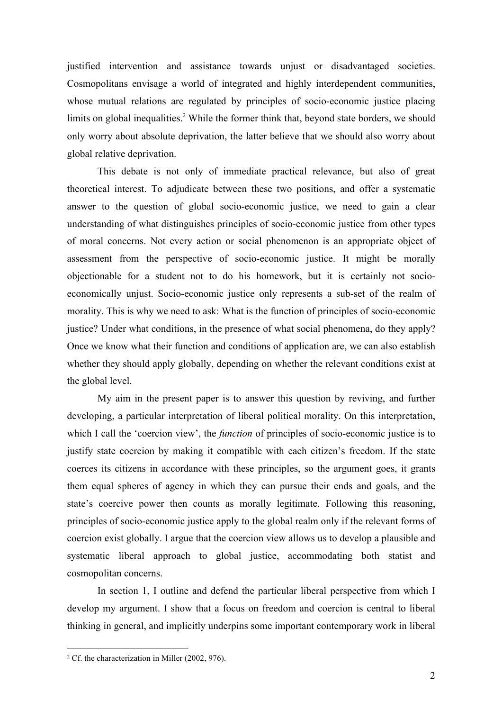justified intervention and assistance towards unjust or disadvantaged societies. Cosmopolitans envisage a world of integrated and highly interdependent communities, whose mutual relations are regulated by principles of socio-economic justice placing limits on global inequalities.<sup>2</sup> While the former think that, beyond state borders, we should only worry about absolute deprivation, the latter believe that we should also worry about global relative deprivation.

This debate is not only of immediate practical relevance, but also of great theoretical interest. To adjudicate between these two positions, and offer a systematic answer to the question of global socio-economic justice, we need to gain a clear understanding of what distinguishes principles of socio-economic justice from other types of moral concerns. Not every action or social phenomenon is an appropriate object of assessment from the perspective of socio-economic justice. It might be morally objectionable for a student not to do his homework, but it is certainly not socioeconomically unjust. Socio-economic justice only represents a sub-set of the realm of morality. This is why we need to ask: What is the function of principles of socio-economic justice? Under what conditions, in the presence of what social phenomena, do they apply? Once we know what their function and conditions of application are, we can also establish whether they should apply globally, depending on whether the relevant conditions exist at the global level.

My aim in the present paper is to answer this question by reviving, and further developing, a particular interpretation of liberal political morality. On this interpretation, which I call the 'coercion view', the *function* of principles of socio-economic justice is to justify state coercion by making it compatible with each citizen's freedom. If the state coerces its citizens in accordance with these principles, so the argument goes, it grants them equal spheres of agency in which they can pursue their ends and goals, and the state's coercive power then counts as morally legitimate. Following this reasoning, principles of socio-economic justice apply to the global realm only if the relevant forms of coercion exist globally. I argue that the coercion view allows us to develop a plausible and systematic liberal approach to global justice, accommodating both statist and cosmopolitan concerns.

In section 1, I outline and defend the particular liberal perspective from which I develop my argument. I show that a focus on freedom and coercion is central to liberal thinking in general, and implicitly underpins some important contemporary work in liberal

<sup>2</sup> Cf. the characterization in Miller (2002, 976).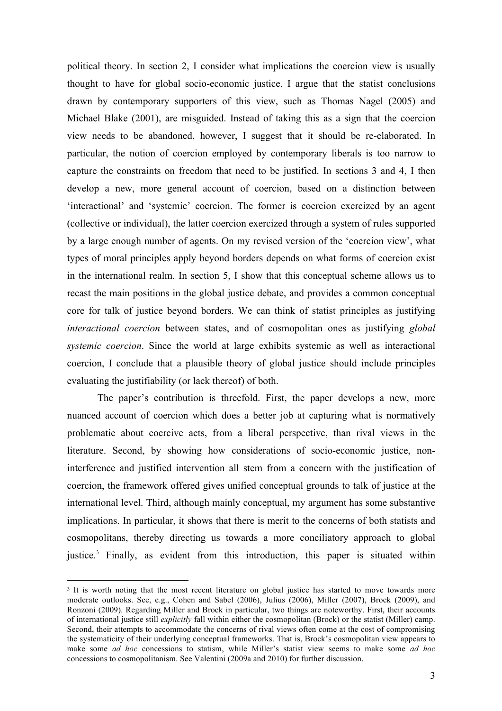political theory. In section 2, I consider what implications the coercion view is usually thought to have for global socio-economic justice. I argue that the statist conclusions drawn by contemporary supporters of this view, such as Thomas Nagel (2005) and Michael Blake (2001), are misguided. Instead of taking this as a sign that the coercion view needs to be abandoned, however, I suggest that it should be re-elaborated. In particular, the notion of coercion employed by contemporary liberals is too narrow to capture the constraints on freedom that need to be justified. In sections 3 and 4, I then develop a new, more general account of coercion, based on a distinction between 'interactional' and 'systemic' coercion. The former is coercion exercized by an agent (collective or individual), the latter coercion exercized through a system of rules supported by a large enough number of agents. On my revised version of the 'coercion view', what types of moral principles apply beyond borders depends on what forms of coercion exist in the international realm. In section 5, I show that this conceptual scheme allows us to recast the main positions in the global justice debate, and provides a common conceptual core for talk of justice beyond borders. We can think of statist principles as justifying *interactional coercion* between states, and of cosmopolitan ones as justifying *global systemic coercion*. Since the world at large exhibits systemic as well as interactional coercion, I conclude that a plausible theory of global justice should include principles evaluating the justifiability (or lack thereof) of both.

The paper's contribution is threefold. First, the paper develops a new, more nuanced account of coercion which does a better job at capturing what is normatively problematic about coercive acts, from a liberal perspective, than rival views in the literature. Second, by showing how considerations of socio-economic justice, noninterference and justified intervention all stem from a concern with the justification of coercion, the framework offered gives unified conceptual grounds to talk of justice at the international level. Third, although mainly conceptual, my argument has some substantive implications. In particular, it shows that there is merit to the concerns of both statists and cosmopolitans, thereby directing us towards a more conciliatory approach to global justice. <sup>3</sup> Finally, as evident from this introduction, this paper is situated within

<sup>&</sup>lt;sup>3</sup> It is worth noting that the most recent literature on global justice has started to move towards more moderate outlooks. See, e.g., Cohen and Sabel (2006), Julius (2006), Miller (2007), Brock (2009), and Ronzoni (2009). Regarding Miller and Brock in particular, two things are noteworthy. First, their accounts of international justice still *explicitly* fall within either the cosmopolitan (Brock) or the statist (Miller) camp. Second, their attempts to accommodate the concerns of rival views often come at the cost of compromising the systematicity of their underlying conceptual frameworks. That is, Brock's cosmopolitan view appears to make some *ad hoc* concessions to statism, while Miller's statist view seems to make some *ad hoc* concessions to cosmopolitanism. See Valentini (2009a and 2010) for further discussion.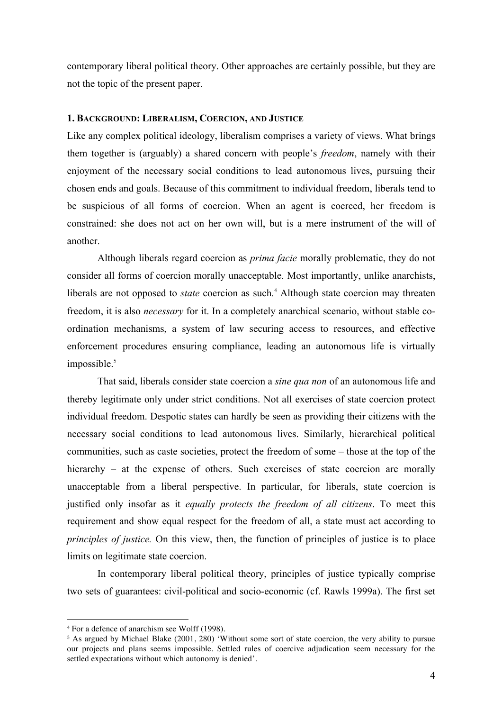contemporary liberal political theory. Other approaches are certainly possible, but they are not the topic of the present paper.

### **1. BACKGROUND: LIBERALISM, COERCION, AND JUSTICE**

Like any complex political ideology, liberalism comprises a variety of views. What brings them together is (arguably) a shared concern with people's *freedom*, namely with their enjoyment of the necessary social conditions to lead autonomous lives, pursuing their chosen ends and goals. Because of this commitment to individual freedom, liberals tend to be suspicious of all forms of coercion. When an agent is coerced, her freedom is constrained: she does not act on her own will, but is a mere instrument of the will of another.

Although liberals regard coercion as *prima facie* morally problematic, they do not consider all forms of coercion morally unacceptable. Most importantly, unlike anarchists, liberals are not opposed to *state* coercion as such. <sup>4</sup> Although state coercion may threaten freedom, it is also *necessary* for it. In a completely anarchical scenario, without stable coordination mechanisms, a system of law securing access to resources, and effective enforcement procedures ensuring compliance, leading an autonomous life is virtually impossible.<sup>5</sup>

That said, liberals consider state coercion a *sine qua non* of an autonomous life and thereby legitimate only under strict conditions. Not all exercises of state coercion protect individual freedom. Despotic states can hardly be seen as providing their citizens with the necessary social conditions to lead autonomous lives. Similarly, hierarchical political communities, such as caste societies, protect the freedom of some – those at the top of the hierarchy – at the expense of others. Such exercises of state coercion are morally unacceptable from a liberal perspective. In particular, for liberals, state coercion is justified only insofar as it *equally protects the freedom of all citizens*. To meet this requirement and show equal respect for the freedom of all, a state must act according to *principles of justice*. On this view, then, the function of principles of justice is to place limits on legitimate state coercion.

In contemporary liberal political theory, principles of justice typically comprise two sets of guarantees: civil-political and socio-economic (cf. Rawls 1999a). The first set

<sup>4</sup> For a defence of anarchism see Wolff (1998).

<sup>5</sup> As argued by Michael Blake (2001, 280) 'Without some sort of state coercion, the very ability to pursue our projects and plans seems impossible. Settled rules of coercive adjudication seem necessary for the settled expectations without which autonomy is denied'.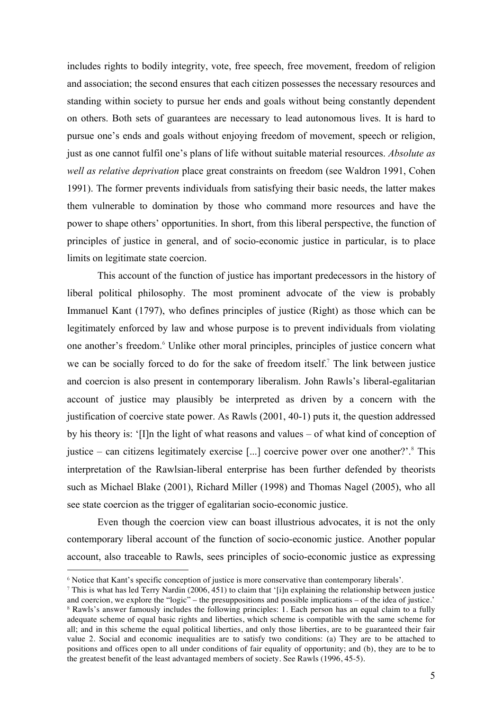includes rights to bodily integrity, vote, free speech, free movement, freedom of religion and association; the second ensures that each citizen possesses the necessary resources and standing within society to pursue her ends and goals without being constantly dependent on others. Both sets of guarantees are necessary to lead autonomous lives. It is hard to pursue one's ends and goals without enjoying freedom of movement, speech or religion, just as one cannot fulfil one's plans of life without suitable material resources. *Absolute as well as relative deprivation* place great constraints on freedom (see Waldron 1991, Cohen 1991). The former prevents individuals from satisfying their basic needs, the latter makes them vulnerable to domination by those who command more resources and have the power to shape others' opportunities. In short, from this liberal perspective, the function of principles of justice in general, and of socio-economic justice in particular, is to place limits on legitimate state coercion.

This account of the function of justice has important predecessors in the history of liberal political philosophy. The most prominent advocate of the view is probably Immanuel Kant (1797), who defines principles of justice (Right) as those which can be legitimately enforced by law and whose purpose is to prevent individuals from violating one another's freedom.<sup>6</sup> Unlike other moral principles, principles of justice concern what we can be socially forced to do for the sake of freedom itself.<sup>7</sup> The link between justice and coercion is also present in contemporary liberalism. John Rawls's liberal-egalitarian account of justice may plausibly be interpreted as driven by a concern with the justification of coercive state power. As Rawls (2001, 40-1) puts it, the question addressed by his theory is: '[I]n the light of what reasons and values – of what kind of conception of justice – can citizens legitimately exercise [...] coercive power over one another?'. <sup>8</sup> This interpretation of the Rawlsian-liberal enterprise has been further defended by theorists such as Michael Blake (2001), Richard Miller (1998) and Thomas Nagel (2005), who all see state coercion as the trigger of egalitarian socio-economic justice.

Even though the coercion view can boast illustrious advocates, it is not the only contemporary liberal account of the function of socio-economic justice. Another popular account, also traceable to Rawls, sees principles of socio-economic justice as expressing

<sup>6</sup> Notice that Kant's specific conception of justice is more conservative than contemporary liberals'.

<sup>7</sup> This is what has led Terry Nardin (2006, 451) to claim that '[i]n explaining the relationship between justice and coercion, we explore the "logic" – the presuppositions and possible implications – of the idea of justice.' <sup>8</sup> Rawls's answer famously includes the following principles: 1. Each person has an equal claim to a fully adequate scheme of equal basic rights and liberties, which scheme is compatible with the same scheme for all; and in this scheme the equal political liberties, and only those liberties, are to be guaranteed their fair value 2. Social and economic inequalities are to satisfy two conditions: (a) They are to be attached to positions and offices open to all under conditions of fair equality of opportunity; and (b), they are to be to the greatest benefit of the least advantaged members of society. See Rawls (1996, 45-5).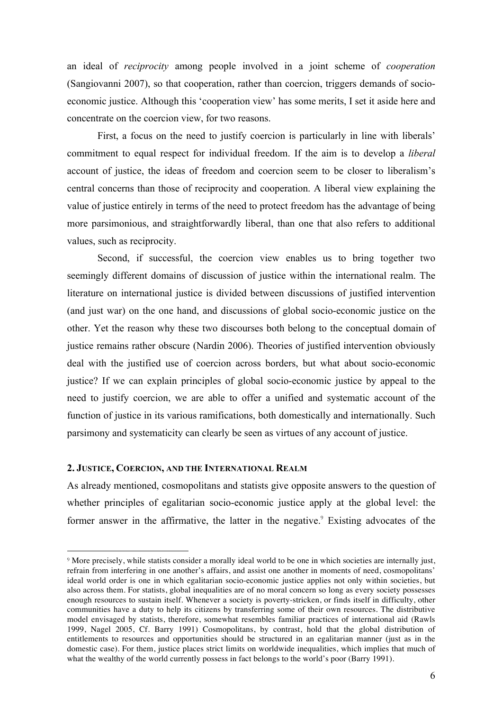an ideal of *reciprocity* among people involved in a joint scheme of *cooperation* (Sangiovanni 2007), so that cooperation, rather than coercion, triggers demands of socioeconomic justice. Although this 'cooperation view' has some merits, I set it aside here and concentrate on the coercion view, for two reasons.

First, a focus on the need to justify coercion is particularly in line with liberals' commitment to equal respect for individual freedom. If the aim is to develop a *liberal* account of justice, the ideas of freedom and coercion seem to be closer to liberalism's central concerns than those of reciprocity and cooperation. A liberal view explaining the value of justice entirely in terms of the need to protect freedom has the advantage of being more parsimonious, and straightforwardly liberal, than one that also refers to additional values, such as reciprocity.

Second, if successful, the coercion view enables us to bring together two seemingly different domains of discussion of justice within the international realm. The literature on international justice is divided between discussions of justified intervention (and just war) on the one hand, and discussions of global socio-economic justice on the other. Yet the reason why these two discourses both belong to the conceptual domain of justice remains rather obscure (Nardin 2006). Theories of justified intervention obviously deal with the justified use of coercion across borders, but what about socio-economic justice? If we can explain principles of global socio-economic justice by appeal to the need to justify coercion, we are able to offer a unified and systematic account of the function of justice in its various ramifications, both domestically and internationally. Such parsimony and systematicity can clearly be seen as virtues of any account of justice.

# **2. JUSTICE, COERCION, AND THE INTERNATIONAL REALM**

 $\overline{a}$ 

As already mentioned, cosmopolitans and statists give opposite answers to the question of whether principles of egalitarian socio-economic justice apply at the global level: the former answer in the affirmative, the latter in the negative.<sup>9</sup> Existing advocates of the

<sup>9</sup> More precisely, while statists consider a morally ideal world to be one in which societies are internally just, refrain from interfering in one another's affairs, and assist one another in moments of need, cosmopolitans' ideal world order is one in which egalitarian socio-economic justice applies not only within societies, but also across them. For statists, global inequalities are of no moral concern so long as every society possesses enough resources to sustain itself. Whenever a society is poverty-stricken, or finds itself in difficulty, other communities have a duty to help its citizens by transferring some of their own resources. The distributive model envisaged by statists, therefore, somewhat resembles familiar practices of international aid (Rawls 1999, Nagel 2005, Cf. Barry 1991) Cosmopolitans, by contrast, hold that the global distribution of entitlements to resources and opportunities should be structured in an egalitarian manner (just as in the domestic case). For them, justice places strict limits on worldwide inequalities, which implies that much of what the wealthy of the world currently possess in fact belongs to the world's poor (Barry 1991).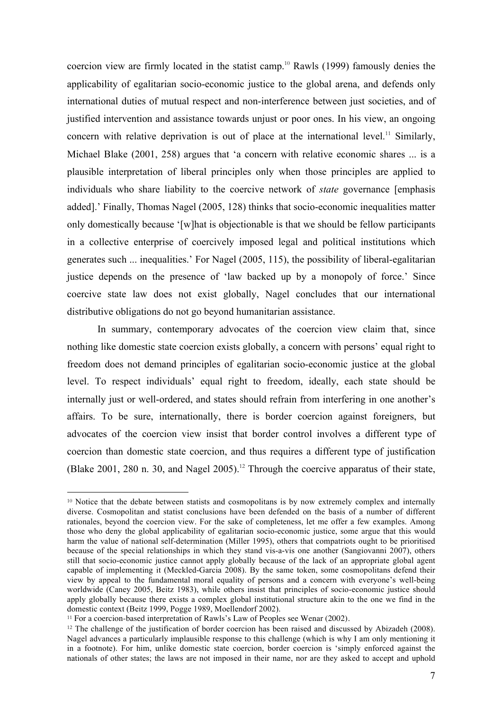coercion view are firmly located in the statist camp.<sup>10</sup> Rawls (1999) famously denies the applicability of egalitarian socio-economic justice to the global arena, and defends only international duties of mutual respect and non-interference between just societies, and of justified intervention and assistance towards unjust or poor ones. In his view, an ongoing concern with relative deprivation is out of place at the international level.<sup>11</sup> Similarly, Michael Blake (2001, 258) argues that 'a concern with relative economic shares ... is a plausible interpretation of liberal principles only when those principles are applied to individuals who share liability to the coercive network of *state* governance [emphasis added].' Finally, Thomas Nagel (2005, 128) thinks that socio-economic inequalities matter only domestically because '[w]hat is objectionable is that we should be fellow participants in a collective enterprise of coercively imposed legal and political institutions which generates such ... inequalities.' For Nagel (2005, 115), the possibility of liberal-egalitarian justice depends on the presence of 'law backed up by a monopoly of force.' Since coercive state law does not exist globally, Nagel concludes that our international distributive obligations do not go beyond humanitarian assistance.

In summary, contemporary advocates of the coercion view claim that, since nothing like domestic state coercion exists globally, a concern with persons' equal right to freedom does not demand principles of egalitarian socio-economic justice at the global level. To respect individuals' equal right to freedom, ideally, each state should be internally just or well-ordered, and states should refrain from interfering in one another's affairs. To be sure, internationally, there is border coercion against foreigners, but advocates of the coercion view insist that border control involves a different type of coercion than domestic state coercion, and thus requires a different type of justification (Blake 2001, 280 n. 30, and Nagel 2005).<sup>12</sup> Through the coercive apparatus of their state,

<sup>10</sup> Notice that the debate between statists and cosmopolitans is by now extremely complex and internally diverse. Cosmopolitan and statist conclusions have been defended on the basis of a number of different rationales, beyond the coercion view. For the sake of completeness, let me offer a few examples. Among those who deny the global applicability of egalitarian socio-economic justice, some argue that this would harm the value of national self-determination (Miller 1995), others that compatriots ought to be prioritised because of the special relationships in which they stand vis-a-vis one another (Sangiovanni 2007), others still that socio-economic justice cannot apply globally because of the lack of an appropriate global agent capable of implementing it (Meckled-Garcia 2008). By the same token, some cosmopolitans defend their view by appeal to the fundamental moral equality of persons and a concern with everyone's well-being worldwide (Caney 2005, Beitz 1983), while others insist that principles of socio-economic justice should apply globally because there exists a complex global institutional structure akin to the one we find in the domestic context (Beitz 1999, Pogge 1989, Moellendorf 2002).

<sup>&</sup>lt;sup>11</sup> For a coercion-based interpretation of Rawls's Law of Peoples see Wenar (2002).

 $12$  The challenge of the justification of border coercion has been raised and discussed by Abizadeh (2008). Nagel advances a particularly implausible response to this challenge (which is why I am only mentioning it in a footnote). For him, unlike domestic state coercion, border coercion is 'simply enforced against the nationals of other states; the laws are not imposed in their name, nor are they asked to accept and uphold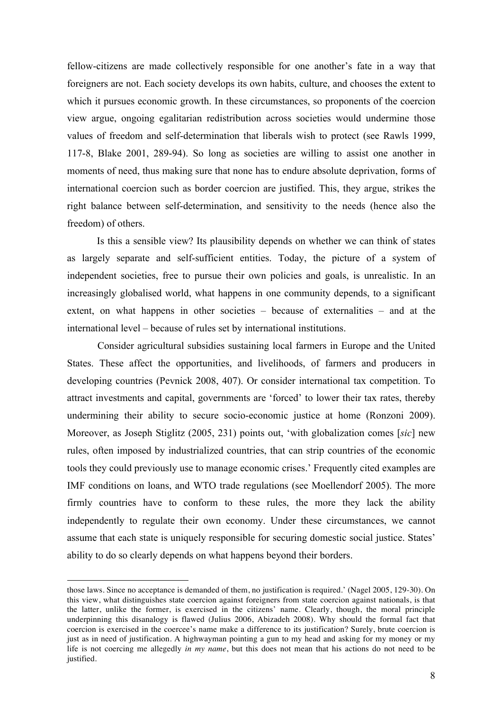fellow-citizens are made collectively responsible for one another's fate in a way that foreigners are not. Each society develops its own habits, culture, and chooses the extent to which it pursues economic growth. In these circumstances, so proponents of the coercion view argue, ongoing egalitarian redistribution across societies would undermine those values of freedom and self-determination that liberals wish to protect (see Rawls 1999, 117-8, Blake 2001, 289-94). So long as societies are willing to assist one another in moments of need, thus making sure that none has to endure absolute deprivation, forms of international coercion such as border coercion are justified. This, they argue, strikes the right balance between self-determination, and sensitivity to the needs (hence also the freedom) of others.

Is this a sensible view? Its plausibility depends on whether we can think of states as largely separate and self-sufficient entities. Today, the picture of a system of independent societies, free to pursue their own policies and goals, is unrealistic. In an increasingly globalised world, what happens in one community depends, to a significant extent, on what happens in other societies – because of externalities – and at the international level – because of rules set by international institutions.

Consider agricultural subsidies sustaining local farmers in Europe and the United States. These affect the opportunities, and livelihoods, of farmers and producers in developing countries (Pevnick 2008, 407). Or consider international tax competition. To attract investments and capital, governments are 'forced' to lower their tax rates, thereby undermining their ability to secure socio-economic justice at home (Ronzoni 2009). Moreover, as Joseph Stiglitz (2005, 231) points out, 'with globalization comes [*sic*] new rules, often imposed by industrialized countries, that can strip countries of the economic tools they could previously use to manage economic crises.' Frequently cited examples are IMF conditions on loans, and WTO trade regulations (see Moellendorf 2005). The more firmly countries have to conform to these rules, the more they lack the ability independently to regulate their own economy. Under these circumstances, we cannot assume that each state is uniquely responsible for securing domestic social justice. States' ability to do so clearly depends on what happens beyond their borders.

those laws. Since no acceptance is demanded of them, no justification is required.' (Nagel 2005, 129-30). On this view, what distinguishes state coercion against foreigners from state coercion against nationals, is that the latter, unlike the former, is exercised in the citizens' name. Clearly, though, the moral principle underpinning this disanalogy is flawed (Julius 2006, Abizadeh 2008). Why should the formal fact that coercion is exercised in the coercee's name make a difference to its justification? Surely, brute coercion is just as in need of justification. A highwayman pointing a gun to my head and asking for my money or my life is not coercing me allegedly *in my name*, but this does not mean that his actions do not need to be justified.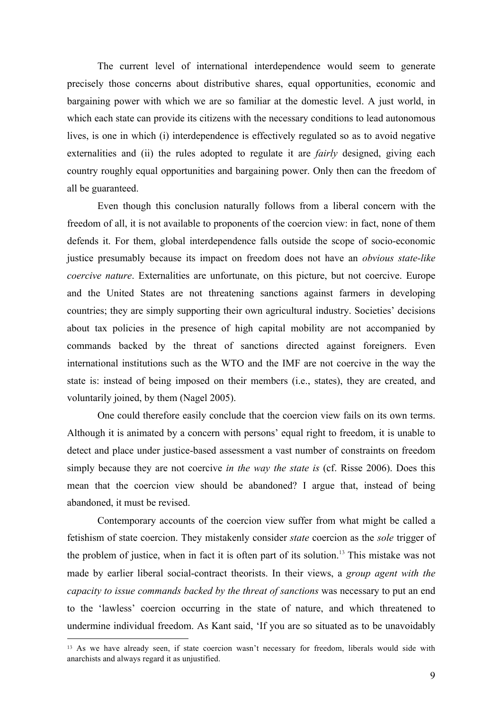The current level of international interdependence would seem to generate precisely those concerns about distributive shares, equal opportunities, economic and bargaining power with which we are so familiar at the domestic level. A just world, in which each state can provide its citizens with the necessary conditions to lead autonomous lives, is one in which (i) interdependence is effectively regulated so as to avoid negative externalities and (ii) the rules adopted to regulate it are *fairly* designed, giving each country roughly equal opportunities and bargaining power. Only then can the freedom of all be guaranteed.

Even though this conclusion naturally follows from a liberal concern with the freedom of all, it is not available to proponents of the coercion view: in fact, none of them defends it. For them, global interdependence falls outside the scope of socio-economic justice presumably because its impact on freedom does not have an *obvious state-like coercive nature*. Externalities are unfortunate, on this picture, but not coercive. Europe and the United States are not threatening sanctions against farmers in developing countries; they are simply supporting their own agricultural industry. Societies' decisions about tax policies in the presence of high capital mobility are not accompanied by commands backed by the threat of sanctions directed against foreigners. Even international institutions such as the WTO and the IMF are not coercive in the way the state is: instead of being imposed on their members (i.e., states), they are created, and voluntarily joined, by them (Nagel 2005).

One could therefore easily conclude that the coercion view fails on its own terms. Although it is animated by a concern with persons' equal right to freedom, it is unable to detect and place under justice-based assessment a vast number of constraints on freedom simply because they are not coercive *in the way the state is* (cf. Risse 2006). Does this mean that the coercion view should be abandoned? I argue that, instead of being abandoned, it must be revised.

Contemporary accounts of the coercion view suffer from what might be called a fetishism of state coercion. They mistakenly consider *state* coercion as the *sole* trigger of the problem of justice, when in fact it is often part of its solution.<sup>13</sup> This mistake was not made by earlier liberal social-contract theorists. In their views, a *group agent with the capacity to issue commands backed by the threat of sanctions* was necessary to put an end to the 'lawless' coercion occurring in the state of nature, and which threatened to undermine individual freedom. As Kant said, 'If you are so situated as to be unavoidably

<sup>&</sup>lt;sup>13</sup> As we have already seen, if state coercion wasn't necessary for freedom, liberals would side with anarchists and always regard it as unjustified.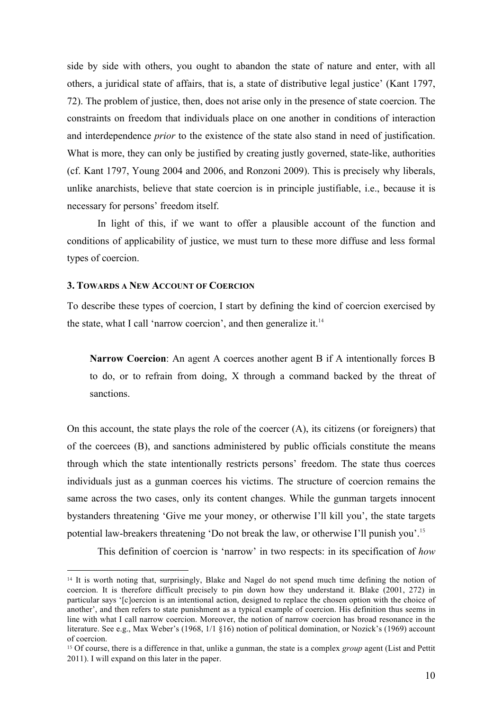side by side with others, you ought to abandon the state of nature and enter, with all others, a juridical state of affairs, that is, a state of distributive legal justice' (Kant 1797, 72). The problem of justice, then, does not arise only in the presence of state coercion. The constraints on freedom that individuals place on one another in conditions of interaction and interdependence *prior* to the existence of the state also stand in need of justification. What is more, they can only be justified by creating justly governed, state-like, authorities (cf. Kant 1797, Young 2004 and 2006, and Ronzoni 2009). This is precisely why liberals, unlike anarchists, believe that state coercion is in principle justifiable, i.e., because it is necessary for persons' freedom itself.

In light of this, if we want to offer a plausible account of the function and conditions of applicability of justice, we must turn to these more diffuse and less formal types of coercion.

### **3. TOWARDS A NEW ACCOUNT OF COERCION**

 $\overline{a}$ 

To describe these types of coercion, I start by defining the kind of coercion exercised by the state, what I call 'narrow coercion', and then generalize it. $14$ 

**Narrow Coercion**: An agent A coerces another agent B if A intentionally forces B to do, or to refrain from doing, X through a command backed by the threat of sanctions.

On this account, the state plays the role of the coercer (A), its citizens (or foreigners) that of the coercees (B), and sanctions administered by public officials constitute the means through which the state intentionally restricts persons' freedom. The state thus coerces individuals just as a gunman coerces his victims. The structure of coercion remains the same across the two cases, only its content changes. While the gunman targets innocent bystanders threatening 'Give me your money, or otherwise I'll kill you', the state targets potential law-breakers threatening 'Do not break the law, or otherwise I'll punish you'. 15

This definition of coercion is 'narrow' in two respects: in its specification of *how*

<sup>14</sup> It is worth noting that, surprisingly, Blake and Nagel do not spend much time defining the notion of coercion. It is therefore difficult precisely to pin down how they understand it. Blake (2001, 272) in particular says '[c]oercion is an intentional action, designed to replace the chosen option with the choice of another', and then refers to state punishment as a typical example of coercion. His definition thus seems in line with what I call narrow coercion. Moreover, the notion of narrow coercion has broad resonance in the literature. See e.g., Max Weber's (1968, 1/1 §16) notion of political domination, or Nozick's (1969) account of coercion.

<sup>15</sup> Of course, there is a difference in that, unlike a gunman, the state is a complex *group* agent (List and Pettit 2011). I will expand on this later in the paper.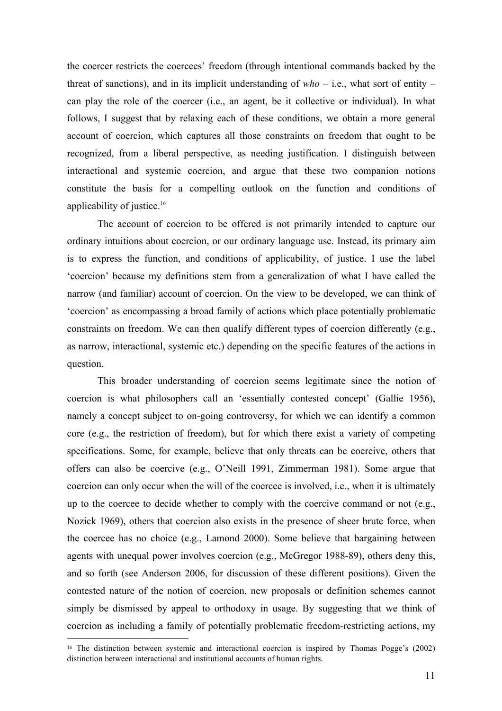the coercer restricts the coercees' freedom (through intentional commands backed by the threat of sanctions), and in its implicit understanding of  $who$  – i.e., what sort of entity – can play the role of the coercer (i.e., an agent, be it collective or individual). In what follows, I suggest that by relaxing each of these conditions, we obtain a more general account of coercion, which captures all those constraints on freedom that ought to be recognized, from a liberal perspective, as needing justification. I distinguish between interactional and systemic coercion, and argue that these two companion notions constitute the basis for a compelling outlook on the function and conditions of applicability of justice.<sup>16</sup>

The account of coercion to be offered is not primarily intended to capture our ordinary intuitions about coercion, or our ordinary language use. Instead, its primary aim is to express the function, and conditions of applicability, of justice. I use the label 'coercion' because my definitions stem from a generalization of what I have called the narrow (and familiar) account of coercion. On the view to be developed, we can think of 'coercion' as encompassing a broad family of actions which place potentially problematic constraints on freedom. We can then qualify different types of coercion differently (e.g., as narrow, interactional, systemic etc.) depending on the specific features of the actions in question.

This broader understanding of coercion seems legitimate since the notion of coercion is what philosophers call an 'essentially contested concept' (Gallie 1956), namely a concept subject to on-going controversy, for which we can identify a common core (e.g., the restriction of freedom), but for which there exist a variety of competing specifications. Some, for example, believe that only threats can be coercive, others that offers can also be coercive (e.g., O'Neill 1991, Zimmerman 1981). Some argue that coercion can only occur when the will of the coercee is involved, i.e., when it is ultimately up to the coercee to decide whether to comply with the coercive command or not (e.g., Nozick 1969), others that coercion also exists in the presence of sheer brute force, when the coercee has no choice (e.g., Lamond 2000). Some believe that bargaining between agents with unequal power involves coercion (e.g., McGregor 1988-89), others deny this, and so forth (see Anderson 2006, for discussion of these different positions). Given the contested nature of the notion of coercion, new proposals or definition schemes cannot simply be dismissed by appeal to orthodoxy in usage. By suggesting that we think of coercion as including a family of potentially problematic freedom-restricting actions, my

<sup>&</sup>lt;sup>16</sup> The distinction between systemic and interactional coercion is inspired by Thomas Pogge's (2002) distinction between interactional and institutional accounts of human rights.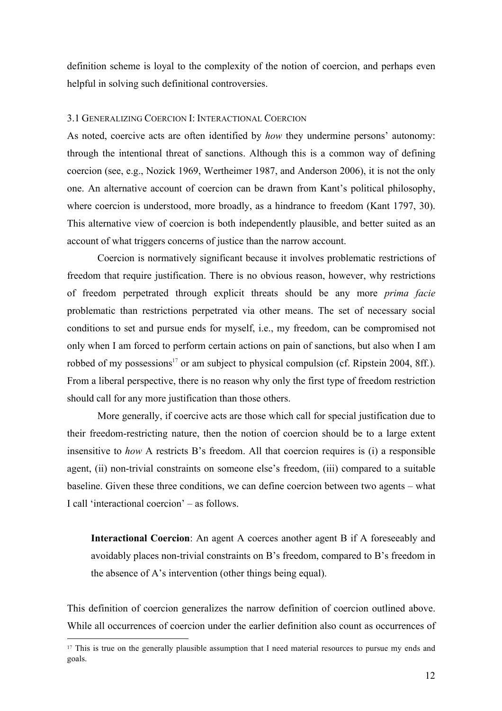definition scheme is loyal to the complexity of the notion of coercion, and perhaps even helpful in solving such definitional controversies.

### 3.1 GENERALIZING COERCION I: INTERACTIONAL COERCION

As noted, coercive acts are often identified by *how* they undermine persons' autonomy: through the intentional threat of sanctions. Although this is a common way of defining coercion (see, e.g., Nozick 1969, Wertheimer 1987, and Anderson 2006), it is not the only one. An alternative account of coercion can be drawn from Kant's political philosophy, where coercion is understood, more broadly, as a hindrance to freedom (Kant 1797, 30). This alternative view of coercion is both independently plausible, and better suited as an account of what triggers concerns of justice than the narrow account.

Coercion is normatively significant because it involves problematic restrictions of freedom that require justification. There is no obvious reason, however, why restrictions of freedom perpetrated through explicit threats should be any more *prima facie* problematic than restrictions perpetrated via other means. The set of necessary social conditions to set and pursue ends for myself, i.e., my freedom, can be compromised not only when I am forced to perform certain actions on pain of sanctions, but also when I am robbed of my possessions<sup>17</sup> or am subject to physical compulsion (cf. Ripstein 2004, 8ff.). From a liberal perspective, there is no reason why only the first type of freedom restriction should call for any more justification than those others.

More generally, if coercive acts are those which call for special justification due to their freedom-restricting nature, then the notion of coercion should be to a large extent insensitive to *how* A restricts B's freedom. All that coercion requires is (i) a responsible agent, (ii) non-trivial constraints on someone else's freedom, (iii) compared to a suitable baseline. Given these three conditions, we can define coercion between two agents – what I call 'interactional coercion' – as follows.

**Interactional Coercion**: An agent A coerces another agent B if A foreseeably and avoidably places non-trivial constraints on B's freedom, compared to B's freedom in the absence of A's intervention (other things being equal).

This definition of coercion generalizes the narrow definition of coercion outlined above. While all occurrences of coercion under the earlier definition also count as occurrences of

<sup>&</sup>lt;sup>17</sup> This is true on the generally plausible assumption that I need material resources to pursue my ends and goals.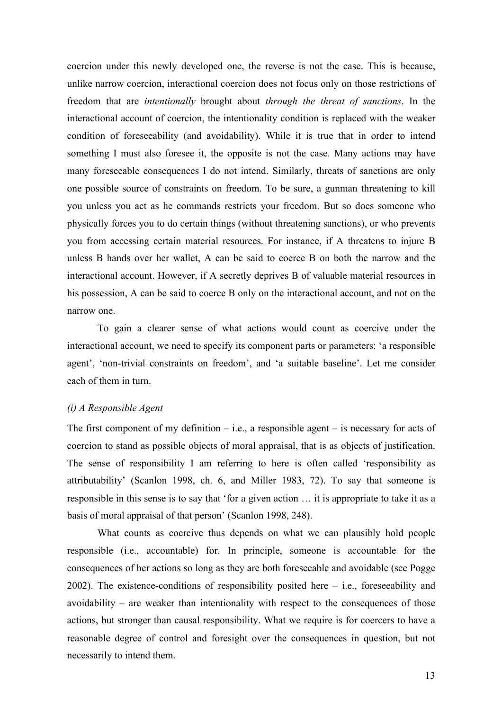coercion under this newly developed one, the reverse is not the case. This is because, unlike narrow coercion, interactional coercion does not focus only on those restrictions of freedom that are *intentionally* brought about *through the threat of sanctions*. In the interactional account of coercion, the intentionality condition is replaced with the weaker condition of foreseeability (and avoidability). While it is true that in order to intend something I must also foresee it, the opposite is not the case. Many actions may have many foreseeable consequences I do not intend. Similarly, threats of sanctions are only one possible source of constraints on freedom. To be sure, a gunman threatening to kill you unless you act as he commands restricts your freedom. But so does someone who physically forces you to do certain things (without threatening sanctions), or who prevents you from accessing certain material resources. For instance, if A threatens to injure B unless B hands over her wallet, A can be said to coerce B on both the narrow and the interactional account. However, if A secretly deprives B of valuable material resources in his possession, A can be said to coerce B only on the interactional account, and not on the narrow one.

To gain a clearer sense of what actions would count as coercive under the interactional account, we need to specify its component parts or parameters: 'a responsible agent', 'non-trivial constraints on freedom', and 'a suitable baseline'. Let me consider each of them in turn.

### *(i) A Responsible Agent*

The first component of my definition  $-$  i.e., a responsible agent  $-$  is necessary for acts of coercion to stand as possible objects of moral appraisal, that is as objects of justification. The sense of responsibility I am referring to here is often called 'responsibility as attributability' (Scanlon 1998, ch. 6, and Miller 1983, 72). To say that someone is responsible in this sense is to say that 'for a given action … it is appropriate to take it as a basis of moral appraisal of that person' (Scanlon 1998, 248).

What counts as coercive thus depends on what we can plausibly hold people responsible (i.e., accountable) for. In principle, someone is accountable for the consequences of her actions so long as they are both foreseeable and avoidable (see Pogge  $2002$ ). The existence-conditions of responsibility posited here  $-$  i.e., foreseeability and avoidability – are weaker than intentionality with respect to the consequences of those actions, but stronger than causal responsibility. What we require is for coercers to have a reasonable degree of control and foresight over the consequences in question, but not necessarily to intend them.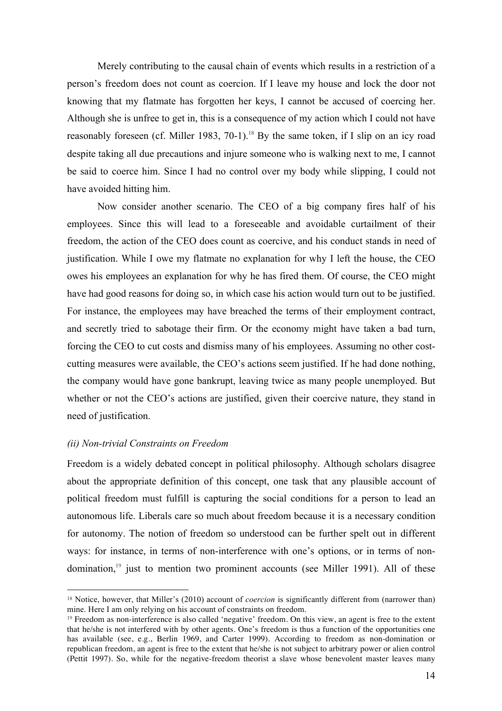Merely contributing to the causal chain of events which results in a restriction of a person's freedom does not count as coercion. If I leave my house and lock the door not knowing that my flatmate has forgotten her keys, I cannot be accused of coercing her. Although she is unfree to get in, this is a consequence of my action which I could not have reasonably foreseen (cf. Miller 1983, 70-1).<sup>18</sup> By the same token, if I slip on an icy road despite taking all due precautions and injure someone who is walking next to me, I cannot be said to coerce him. Since I had no control over my body while slipping, I could not have avoided hitting him.

Now consider another scenario. The CEO of a big company fires half of his employees. Since this will lead to a foreseeable and avoidable curtailment of their freedom, the action of the CEO does count as coercive, and his conduct stands in need of justification. While I owe my flatmate no explanation for why I left the house, the CEO owes his employees an explanation for why he has fired them. Of course, the CEO might have had good reasons for doing so, in which case his action would turn out to be justified. For instance, the employees may have breached the terms of their employment contract, and secretly tried to sabotage their firm. Or the economy might have taken a bad turn, forcing the CEO to cut costs and dismiss many of his employees. Assuming no other costcutting measures were available, the CEO's actions seem justified. If he had done nothing, the company would have gone bankrupt, leaving twice as many people unemployed. But whether or not the CEO's actions are justified, given their coercive nature, they stand in need of justification.

### *(ii) Non-trivial Constraints on Freedom*

 $\overline{a}$ 

Freedom is a widely debated concept in political philosophy. Although scholars disagree about the appropriate definition of this concept, one task that any plausible account of political freedom must fulfill is capturing the social conditions for a person to lead an autonomous life. Liberals care so much about freedom because it is a necessary condition for autonomy. The notion of freedom so understood can be further spelt out in different ways: for instance, in terms of non-interference with one's options, or in terms of nondomination, <sup>19</sup> just to mention two prominent accounts (see Miller 1991). All of these

<sup>18</sup> Notice, however, that Miller's (2010) account of *coercion* is significantly different from (narrower than) mine. Here I am only relying on his account of constraints on freedom.

<sup>19</sup> Freedom as non-interference is also called 'negative' freedom. On this view, an agent is free to the extent that he/she is not interfered with by other agents. One's freedom is thus a function of the opportunities one has available (see, e.g., Berlin 1969, and Carter 1999). According to freedom as non-domination or republican freedom, an agent is free to the extent that he/she is not subject to arbitrary power or alien control (Pettit 1997). So, while for the negative-freedom theorist a slave whose benevolent master leaves many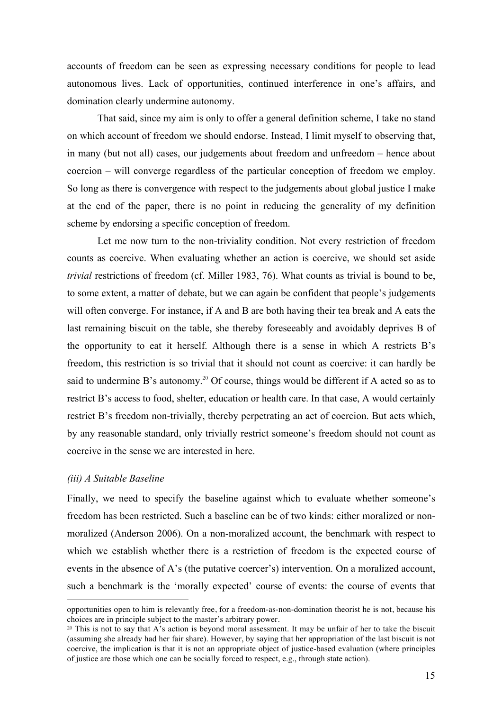accounts of freedom can be seen as expressing necessary conditions for people to lead autonomous lives. Lack of opportunities, continued interference in one's affairs, and domination clearly undermine autonomy.

That said, since my aim is only to offer a general definition scheme, I take no stand on which account of freedom we should endorse. Instead, I limit myself to observing that, in many (but not all) cases, our judgements about freedom and unfreedom – hence about coercion – will converge regardless of the particular conception of freedom we employ. So long as there is convergence with respect to the judgements about global justice I make at the end of the paper, there is no point in reducing the generality of my definition scheme by endorsing a specific conception of freedom.

Let me now turn to the non-triviality condition. Not every restriction of freedom counts as coercive. When evaluating whether an action is coercive, we should set aside *trivial* restrictions of freedom (cf. Miller 1983, 76). What counts as trivial is bound to be, to some extent, a matter of debate, but we can again be confident that people's judgements will often converge. For instance, if A and B are both having their tea break and A eats the last remaining biscuit on the table, she thereby foreseeably and avoidably deprives B of the opportunity to eat it herself. Although there is a sense in which A restricts B's freedom, this restriction is so trivial that it should not count as coercive: it can hardly be said to undermine B's autonomy.<sup>20</sup> Of course, things would be different if A acted so as to restrict B's access to food, shelter, education or health care. In that case, A would certainly restrict B's freedom non-trivially, thereby perpetrating an act of coercion. But acts which, by any reasonable standard, only trivially restrict someone's freedom should not count as coercive in the sense we are interested in here.

## *(iii) A Suitable Baseline*

 $\overline{a}$ 

Finally, we need to specify the baseline against which to evaluate whether someone's freedom has been restricted. Such a baseline can be of two kinds: either moralized or nonmoralized (Anderson 2006). On a non-moralized account, the benchmark with respect to which we establish whether there is a restriction of freedom is the expected course of events in the absence of A's (the putative coercer's) intervention. On a moralized account, such a benchmark is the 'morally expected' course of events: the course of events that

opportunities open to him is relevantly free, for a freedom-as-non-domination theorist he is not, because his choices are in principle subject to the master's arbitrary power.

<sup>20</sup> This is not to say that A's action is beyond moral assessment. It may be unfair of her to take the biscuit (assuming she already had her fair share). However, by saying that her appropriation of the last biscuit is not coercive, the implication is that it is not an appropriate object of justice-based evaluation (where principles of justice are those which one can be socially forced to respect, e.g., through state action).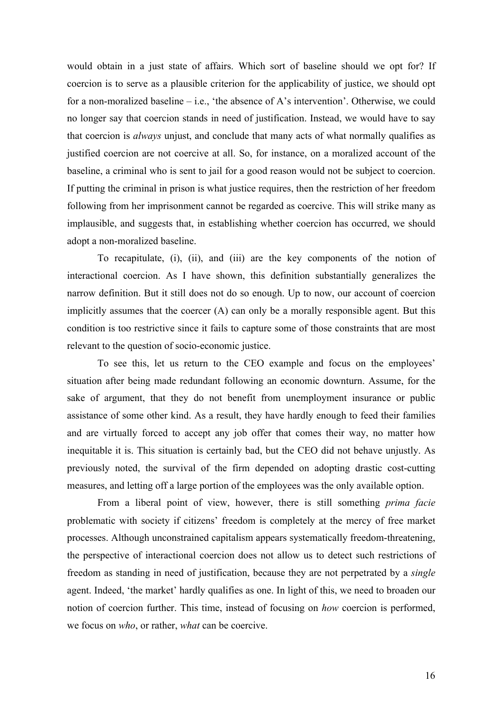would obtain in a just state of affairs. Which sort of baseline should we opt for? If coercion is to serve as a plausible criterion for the applicability of justice, we should opt for a non-moralized baseline – i.e., 'the absence of A's intervention'. Otherwise, we could no longer say that coercion stands in need of justification. Instead, we would have to say that coercion is *always* unjust, and conclude that many acts of what normally qualifies as justified coercion are not coercive at all. So, for instance, on a moralized account of the baseline, a criminal who is sent to jail for a good reason would not be subject to coercion. If putting the criminal in prison is what justice requires, then the restriction of her freedom following from her imprisonment cannot be regarded as coercive. This will strike many as implausible, and suggests that, in establishing whether coercion has occurred, we should adopt a non-moralized baseline.

To recapitulate, (i), (ii), and (iii) are the key components of the notion of interactional coercion. As I have shown, this definition substantially generalizes the narrow definition. But it still does not do so enough. Up to now, our account of coercion implicitly assumes that the coercer (A) can only be a morally responsible agent. But this condition is too restrictive since it fails to capture some of those constraints that are most relevant to the question of socio-economic justice.

To see this, let us return to the CEO example and focus on the employees' situation after being made redundant following an economic downturn. Assume, for the sake of argument, that they do not benefit from unemployment insurance or public assistance of some other kind. As a result, they have hardly enough to feed their families and are virtually forced to accept any job offer that comes their way, no matter how inequitable it is. This situation is certainly bad, but the CEO did not behave unjustly. As previously noted, the survival of the firm depended on adopting drastic cost-cutting measures, and letting off a large portion of the employees was the only available option.

From a liberal point of view, however, there is still something *prima facie* problematic with society if citizens' freedom is completely at the mercy of free market processes. Although unconstrained capitalism appears systematically freedom-threatening, the perspective of interactional coercion does not allow us to detect such restrictions of freedom as standing in need of justification, because they are not perpetrated by a *single* agent. Indeed, 'the market' hardly qualifies as one. In light of this, we need to broaden our notion of coercion further. This time, instead of focusing on *how* coercion is performed, we focus on *who*, or rather, *what* can be coercive.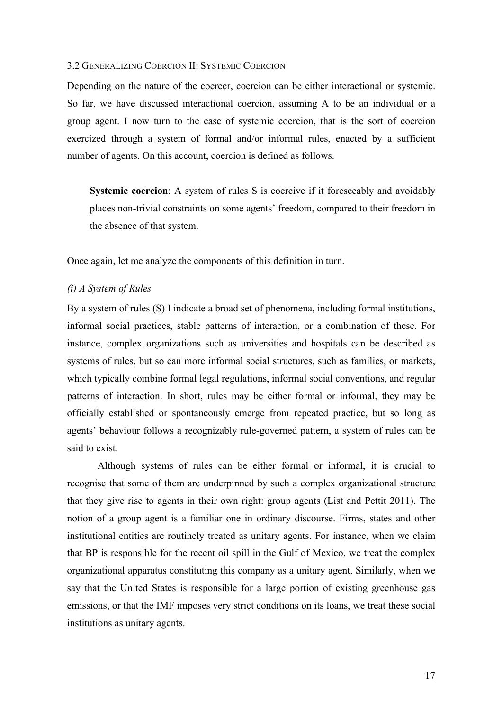### 3.2 GENERALIZING COERCION II: SYSTEMIC COERCION

Depending on the nature of the coercer, coercion can be either interactional or systemic. So far, we have discussed interactional coercion, assuming A to be an individual or a group agent. I now turn to the case of systemic coercion, that is the sort of coercion exercized through a system of formal and/or informal rules, enacted by a sufficient number of agents. On this account, coercion is defined as follows.

**Systemic coercion**: A system of rules S is coercive if it foreseeably and avoidably places non-trivial constraints on some agents' freedom, compared to their freedom in the absence of that system.

Once again, let me analyze the components of this definition in turn.

#### *(i) A System of Rules*

By a system of rules (S) I indicate a broad set of phenomena, including formal institutions, informal social practices, stable patterns of interaction, or a combination of these. For instance, complex organizations such as universities and hospitals can be described as systems of rules, but so can more informal social structures, such as families, or markets, which typically combine formal legal regulations, informal social conventions, and regular patterns of interaction. In short, rules may be either formal or informal, they may be officially established or spontaneously emerge from repeated practice, but so long as agents' behaviour follows a recognizably rule-governed pattern, a system of rules can be said to exist.

Although systems of rules can be either formal or informal, it is crucial to recognise that some of them are underpinned by such a complex organizational structure that they give rise to agents in their own right: group agents (List and Pettit 2011). The notion of a group agent is a familiar one in ordinary discourse. Firms, states and other institutional entities are routinely treated as unitary agents. For instance, when we claim that BP is responsible for the recent oil spill in the Gulf of Mexico, we treat the complex organizational apparatus constituting this company as a unitary agent. Similarly, when we say that the United States is responsible for a large portion of existing greenhouse gas emissions, or that the IMF imposes very strict conditions on its loans, we treat these social institutions as unitary agents.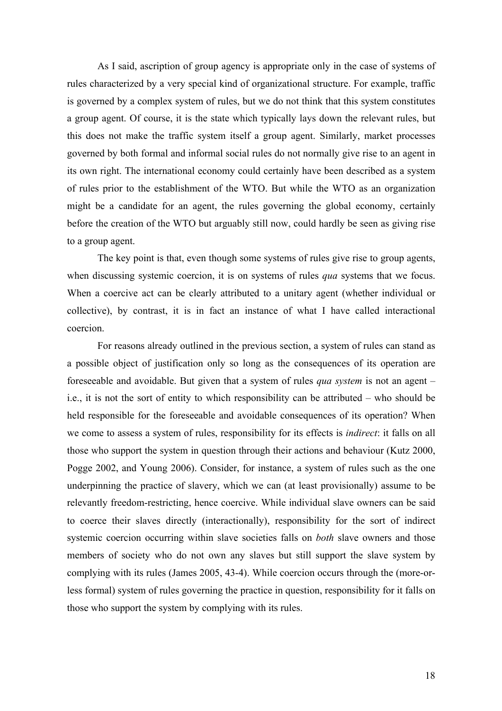As I said, ascription of group agency is appropriate only in the case of systems of rules characterized by a very special kind of organizational structure. For example, traffic is governed by a complex system of rules, but we do not think that this system constitutes a group agent. Of course, it is the state which typically lays down the relevant rules, but this does not make the traffic system itself a group agent. Similarly, market processes governed by both formal and informal social rules do not normally give rise to an agent in its own right. The international economy could certainly have been described as a system of rules prior to the establishment of the WTO. But while the WTO as an organization might be a candidate for an agent, the rules governing the global economy, certainly before the creation of the WTO but arguably still now, could hardly be seen as giving rise to a group agent.

The key point is that, even though some systems of rules give rise to group agents, when discussing systemic coercion, it is on systems of rules *qua* systems that we focus. When a coercive act can be clearly attributed to a unitary agent (whether individual or collective), by contrast, it is in fact an instance of what I have called interactional coercion.

For reasons already outlined in the previous section, a system of rules can stand as a possible object of justification only so long as the consequences of its operation are foreseeable and avoidable. But given that a system of rules *qua system* is not an agent – i.e., it is not the sort of entity to which responsibility can be attributed – who should be held responsible for the foreseeable and avoidable consequences of its operation? When we come to assess a system of rules, responsibility for its effects is *indirect*: it falls on all those who support the system in question through their actions and behaviour (Kutz 2000, Pogge 2002, and Young 2006). Consider, for instance, a system of rules such as the one underpinning the practice of slavery, which we can (at least provisionally) assume to be relevantly freedom-restricting, hence coercive. While individual slave owners can be said to coerce their slaves directly (interactionally), responsibility for the sort of indirect systemic coercion occurring within slave societies falls on *both* slave owners and those members of society who do not own any slaves but still support the slave system by complying with its rules (James 2005, 43-4). While coercion occurs through the (more-orless formal) system of rules governing the practice in question, responsibility for it falls on those who support the system by complying with its rules.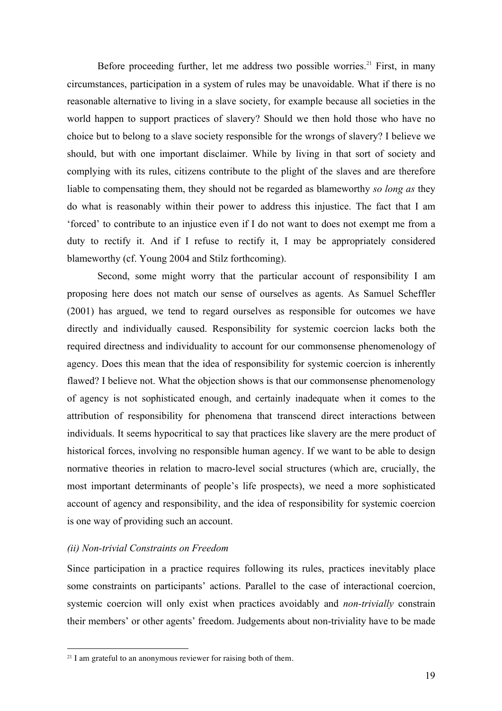Before proceeding further, let me address two possible worries.<sup>21</sup> First, in many circumstances, participation in a system of rules may be unavoidable. What if there is no reasonable alternative to living in a slave society, for example because all societies in the world happen to support practices of slavery? Should we then hold those who have no choice but to belong to a slave society responsible for the wrongs of slavery? I believe we should, but with one important disclaimer. While by living in that sort of society and complying with its rules, citizens contribute to the plight of the slaves and are therefore liable to compensating them, they should not be regarded as blameworthy *so long as* they do what is reasonably within their power to address this injustice. The fact that I am 'forced' to contribute to an injustice even if I do not want to does not exempt me from a duty to rectify it. And if I refuse to rectify it, I may be appropriately considered blameworthy (cf. Young 2004 and Stilz forthcoming).

Second, some might worry that the particular account of responsibility I am proposing here does not match our sense of ourselves as agents. As Samuel Scheffler (2001) has argued, we tend to regard ourselves as responsible for outcomes we have directly and individually caused. Responsibility for systemic coercion lacks both the required directness and individuality to account for our commonsense phenomenology of agency. Does this mean that the idea of responsibility for systemic coercion is inherently flawed? I believe not. What the objection shows is that our commonsense phenomenology of agency is not sophisticated enough, and certainly inadequate when it comes to the attribution of responsibility for phenomena that transcend direct interactions between individuals. It seems hypocritical to say that practices like slavery are the mere product of historical forces, involving no responsible human agency. If we want to be able to design normative theories in relation to macro-level social structures (which are, crucially, the most important determinants of people's life prospects), we need a more sophisticated account of agency and responsibility, and the idea of responsibility for systemic coercion is one way of providing such an account.

### *(ii) Non-trivial Constraints on Freedom*

 $\overline{a}$ 

Since participation in a practice requires following its rules, practices inevitably place some constraints on participants' actions. Parallel to the case of interactional coercion, systemic coercion will only exist when practices avoidably and *non-trivially* constrain their members' or other agents' freedom. Judgements about non-triviality have to be made

 $21$  I am grateful to an anonymous reviewer for raising both of them.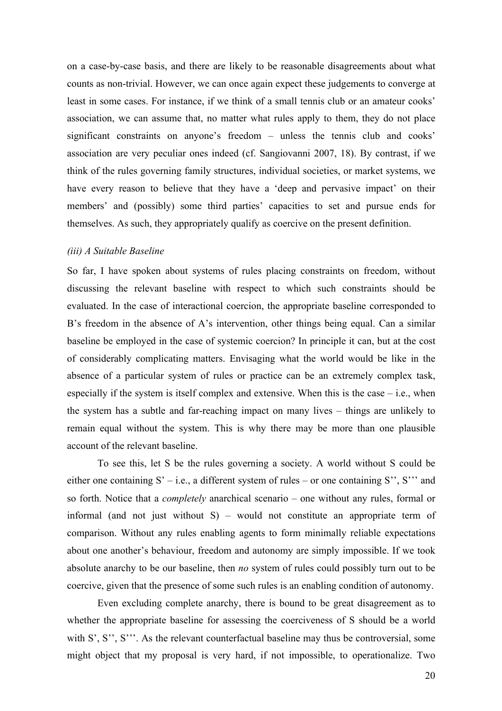on a case-by-case basis, and there are likely to be reasonable disagreements about what counts as non-trivial. However, we can once again expect these judgements to converge at least in some cases. For instance, if we think of a small tennis club or an amateur cooks' association, we can assume that, no matter what rules apply to them, they do not place significant constraints on anyone's freedom – unless the tennis club and cooks' association are very peculiar ones indeed (cf. Sangiovanni 2007, 18). By contrast, if we think of the rules governing family structures, individual societies, or market systems, we have every reason to believe that they have a 'deep and pervasive impact' on their members' and (possibly) some third parties' capacities to set and pursue ends for themselves. As such, they appropriately qualify as coercive on the present definition.

#### *(iii) A Suitable Baseline*

So far, I have spoken about systems of rules placing constraints on freedom, without discussing the relevant baseline with respect to which such constraints should be evaluated. In the case of interactional coercion, the appropriate baseline corresponded to B's freedom in the absence of A's intervention, other things being equal. Can a similar baseline be employed in the case of systemic coercion? In principle it can, but at the cost of considerably complicating matters. Envisaging what the world would be like in the absence of a particular system of rules or practice can be an extremely complex task, especially if the system is itself complex and extensive. When this is the case – i.e., when the system has a subtle and far-reaching impact on many lives – things are unlikely to remain equal without the system. This is why there may be more than one plausible account of the relevant baseline.

To see this, let S be the rules governing a society. A world without S could be either one containing  $S' - i.e.,$  a different system of rules – or one containing  $S''$ ,  $S'''$  and so forth. Notice that a *completely* anarchical scenario – one without any rules, formal or informal (and not just without S) – would not constitute an appropriate term of comparison. Without any rules enabling agents to form minimally reliable expectations about one another's behaviour, freedom and autonomy are simply impossible. If we took absolute anarchy to be our baseline, then *no* system of rules could possibly turn out to be coercive, given that the presence of some such rules is an enabling condition of autonomy.

Even excluding complete anarchy, there is bound to be great disagreement as to whether the appropriate baseline for assessing the coerciveness of S should be a world with S', S'', S'''. As the relevant counterfactual baseline may thus be controversial, some might object that my proposal is very hard, if not impossible, to operationalize. Two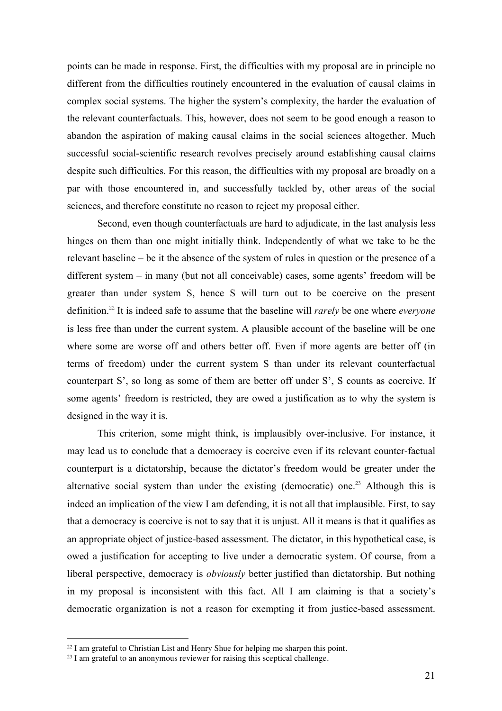points can be made in response. First, the difficulties with my proposal are in principle no different from the difficulties routinely encountered in the evaluation of causal claims in complex social systems. The higher the system's complexity, the harder the evaluation of the relevant counterfactuals. This, however, does not seem to be good enough a reason to abandon the aspiration of making causal claims in the social sciences altogether. Much successful social-scientific research revolves precisely around establishing causal claims despite such difficulties. For this reason, the difficulties with my proposal are broadly on a par with those encountered in, and successfully tackled by, other areas of the social sciences, and therefore constitute no reason to reject my proposal either.

Second, even though counterfactuals are hard to adjudicate, in the last analysis less hinges on them than one might initially think. Independently of what we take to be the relevant baseline – be it the absence of the system of rules in question or the presence of a different system – in many (but not all conceivable) cases, some agents' freedom will be greater than under system S, hence S will turn out to be coercive on the present definition.<sup>22</sup> It is indeed safe to assume that the baseline will *rarely* be one where *everyone*  is less free than under the current system. A plausible account of the baseline will be one where some are worse off and others better off. Even if more agents are better off (in terms of freedom) under the current system S than under its relevant counterfactual counterpart S', so long as some of them are better off under S', S counts as coercive. If some agents' freedom is restricted, they are owed a justification as to why the system is designed in the way it is.

This criterion, some might think, is implausibly over-inclusive. For instance, it may lead us to conclude that a democracy is coercive even if its relevant counter-factual counterpart is a dictatorship, because the dictator's freedom would be greater under the alternative social system than under the existing (democratic) one.<sup>23</sup> Although this is indeed an implication of the view I am defending, it is not all that implausible. First, to say that a democracy is coercive is not to say that it is unjust. All it means is that it qualifies as an appropriate object of justice-based assessment. The dictator, in this hypothetical case, is owed a justification for accepting to live under a democratic system. Of course, from a liberal perspective, democracy is *obviously* better justified than dictatorship. But nothing in my proposal is inconsistent with this fact. All I am claiming is that a society's democratic organization is not a reason for exempting it from justice-based assessment.

<sup>&</sup>lt;sup>22</sup> I am grateful to Christian List and Henry Shue for helping me sharpen this point.

 $23$  I am grateful to an anonymous reviewer for raising this sceptical challenge.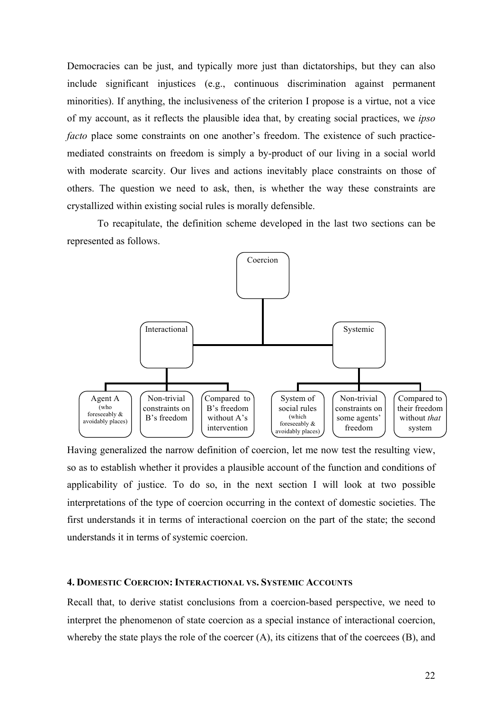Democracies can be just, and typically more just than dictatorships, but they can also include significant injustices (e.g., continuous discrimination against permanent minorities). If anything, the inclusiveness of the criterion I propose is a virtue, not a vice of my account, as it reflects the plausible idea that, by creating social practices, we *ipso facto* place some constraints on one another's freedom. The existence of such practicemediated constraints on freedom is simply a by-product of our living in a social world with moderate scarcity. Our lives and actions inevitably place constraints on those of others. The question we need to ask, then, is whether the way these constraints are crystallized within existing social rules is morally defensible.

To recapitulate, the definition scheme developed in the last two sections can be represented as follows.



Having generalized the narrow definition of coercion, let me now test the resulting view, so as to establish whether it provides a plausible account of the function and conditions of applicability of justice. To do so, in the next section I will look at two possible interpretations of the type of coercion occurring in the context of domestic societies. The first understands it in terms of interactional coercion on the part of the state; the second understands it in terms of systemic coercion.

### **4. DOMESTIC COERCION: INTERACTIONAL VS. SYSTEMIC ACCOUNTS**

Recall that, to derive statist conclusions from a coercion-based perspective, we need to interpret the phenomenon of state coercion as a special instance of interactional coercion, whereby the state plays the role of the coercer (A), its citizens that of the coercees (B), and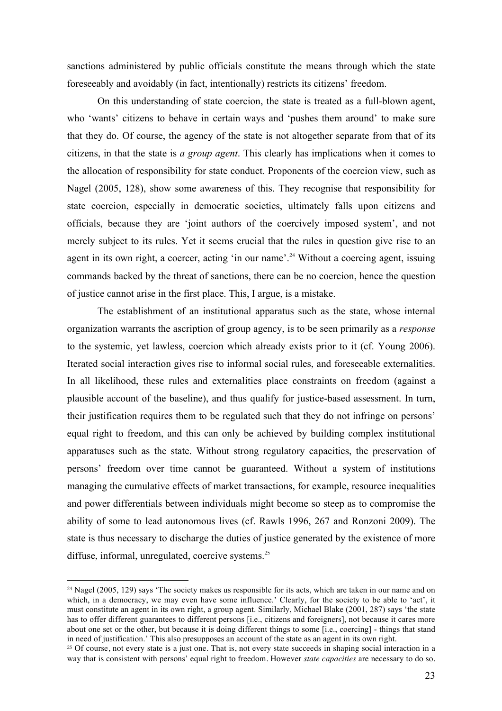sanctions administered by public officials constitute the means through which the state foreseeably and avoidably (in fact, intentionally) restricts its citizens' freedom.

On this understanding of state coercion, the state is treated as a full-blown agent, who 'wants' citizens to behave in certain ways and 'pushes them around' to make sure that they do. Of course, the agency of the state is not altogether separate from that of its citizens, in that the state is *a group agent*. This clearly has implications when it comes to the allocation of responsibility for state conduct. Proponents of the coercion view, such as Nagel (2005, 128), show some awareness of this. They recognise that responsibility for state coercion, especially in democratic societies, ultimately falls upon citizens and officials, because they are 'joint authors of the coercively imposed system', and not merely subject to its rules. Yet it seems crucial that the rules in question give rise to an agent in its own right, a coercer, acting 'in our name'.<sup>24</sup> Without a coercing agent, issuing commands backed by the threat of sanctions, there can be no coercion, hence the question of justice cannot arise in the first place. This, I argue, is a mistake.

The establishment of an institutional apparatus such as the state, whose internal organization warrants the ascription of group agency, is to be seen primarily as a *response* to the systemic, yet lawless, coercion which already exists prior to it (cf. Young 2006). Iterated social interaction gives rise to informal social rules, and foreseeable externalities. In all likelihood, these rules and externalities place constraints on freedom (against a plausible account of the baseline), and thus qualify for justice-based assessment. In turn, their justification requires them to be regulated such that they do not infringe on persons' equal right to freedom, and this can only be achieved by building complex institutional apparatuses such as the state. Without strong regulatory capacities, the preservation of persons' freedom over time cannot be guaranteed. Without a system of institutions managing the cumulative effects of market transactions, for example, resource inequalities and power differentials between individuals might become so steep as to compromise the ability of some to lead autonomous lives (cf. Rawls 1996, 267 and Ronzoni 2009). The state is thus necessary to discharge the duties of justice generated by the existence of more diffuse, informal, unregulated, coercive systems.<sup>25</sup>

 $24$  Nagel (2005, 129) says 'The society makes us responsible for its acts, which are taken in our name and on which, in a democracy, we may even have some influence.' Clearly, for the society to be able to 'act', it must constitute an agent in its own right, a group agent. Similarly, Michael Blake (2001, 287) says 'the state has to offer different guarantees to different persons [i.e., citizens and foreigners], not because it cares more about one set or the other, but because it is doing different things to some [i.e., coercing] - things that stand in need of justification.' This also presupposes an account of the state as an agent in its own right.

<sup>&</sup>lt;sup>25</sup> Of course, not every state is a just one. That is, not every state succeeds in shaping social interaction in a way that is consistent with persons' equal right to freedom. However *state capacities* are necessary to do so.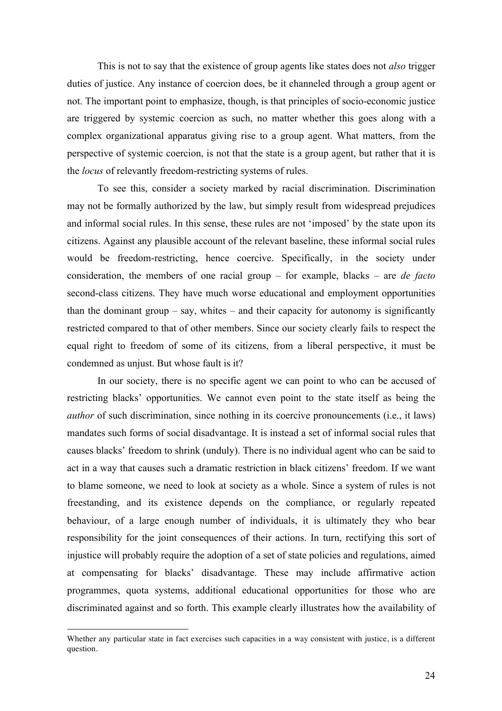This is not to say that the existence of group agents like states does not *also* trigger duties of justice. Any instance of coercion does, be it channeled through a group agent or not. The important point to emphasize, though, is that principles of socio-economic justice are triggered by systemic coercion as such, no matter whether this goes along with a complex organizational apparatus giving rise to a group agent. What matters, from the perspective of systemic coercion, is not that the state is a group agent, but rather that it is the *locus* of relevantly freedom-restricting systems of rules.

To see this, consider a society marked by racial discrimination. Discrimination may not be formally authorized by the law, but simply result from widespread prejudices and informal social rules. In this sense, these rules are not 'imposed' by the state upon its citizens. Against any plausible account of the relevant baseline, these informal social rules would be freedom-restricting, hence coercive. Specifically, in the society under consideration, the members of one racial group – for example, blacks – are *de facto* second-class citizens. They have much worse educational and employment opportunities than the dominant group  $-$  say, whites  $-$  and their capacity for autonomy is significantly restricted compared to that of other members. Since our society clearly fails to respect the equal right to freedom of some of its citizens, from a liberal perspective, it must be condemned as unjust. But whose fault is it?

In our society, there is no specific agent we can point to who can be accused of restricting blacks' opportunities. We cannot even point to the state itself as being the *author* of such discrimination, since nothing in its coercive pronouncements (i.e., it laws) mandates such forms of social disadvantage. It is instead a set of informal social rules that causes blacks' freedom to shrink (unduly). There is no individual agent who can be said to act in a way that causes such a dramatic restriction in black citizens' freedom. If we want to blame someone, we need to look at society as a whole. Since a system of rules is not freestanding, and its existence depends on the compliance, or regularly repeated behaviour, of a large enough number of individuals, it is ultimately they who bear responsibility for the joint consequences of their actions. In turn, rectifying this sort of injustice will probably require the adoption of a set of state policies and regulations, aimed at compensating for blacks' disadvantage. These may include affirmative action programmes, quota systems, additional educational opportunities for those who are discriminated against and so forth. This example clearly illustrates how the availability of

Whether any particular state in fact exercises such capacities in a way consistent with justice, is a different question.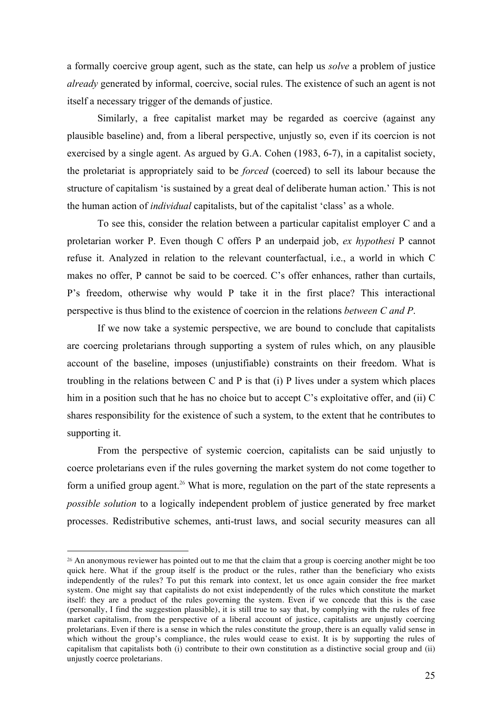a formally coercive group agent, such as the state, can help us *solve* a problem of justice *already* generated by informal, coercive, social rules. The existence of such an agent is not itself a necessary trigger of the demands of justice.

Similarly, a free capitalist market may be regarded as coercive (against any plausible baseline) and, from a liberal perspective, unjustly so, even if its coercion is not exercised by a single agent. As argued by G.A. Cohen (1983, 6-7), in a capitalist society, the proletariat is appropriately said to be *forced* (coerced) to sell its labour because the structure of capitalism 'is sustained by a great deal of deliberate human action.' This is not the human action of *individual* capitalists, but of the capitalist 'class' as a whole.

To see this, consider the relation between a particular capitalist employer C and a proletarian worker P. Even though C offers P an underpaid job, *ex hypothesi* P cannot refuse it. Analyzed in relation to the relevant counterfactual, i.e., a world in which C makes no offer, P cannot be said to be coerced. C's offer enhances, rather than curtails, P's freedom, otherwise why would P take it in the first place? This interactional perspective is thus blind to the existence of coercion in the relations *between C and P*.

If we now take a systemic perspective, we are bound to conclude that capitalists are coercing proletarians through supporting a system of rules which, on any plausible account of the baseline, imposes (unjustifiable) constraints on their freedom. What is troubling in the relations between C and P is that (i) P lives under a system which places him in a position such that he has no choice but to accept C's exploitative offer, and (ii) C shares responsibility for the existence of such a system, to the extent that he contributes to supporting it.

From the perspective of systemic coercion, capitalists can be said unjustly to coerce proletarians even if the rules governing the market system do not come together to form a unified group agent.<sup>26</sup> What is more, regulation on the part of the state represents a *possible solution* to a logically independent problem of justice generated by free market processes. Redistributive schemes, anti-trust laws, and social security measures can all

<sup>&</sup>lt;sup>26</sup> An anonymous reviewer has pointed out to me that the claim that a group is coercing another might be too quick here. What if the group itself is the product or the rules, rather than the beneficiary who exists independently of the rules? To put this remark into context, let us once again consider the free market system. One might say that capitalists do not exist independently of the rules which constitute the market itself: they are a product of the rules governing the system. Even if we concede that this is the case (personally, I find the suggestion plausible), it is still true to say that, by complying with the rules of free market capitalism, from the perspective of a liberal account of justice, capitalists are unjustly coercing proletarians. Even if there is a sense in which the rules constitute the group, there is an equally valid sense in which without the group's compliance, the rules would cease to exist. It is by supporting the rules of capitalism that capitalists both (i) contribute to their own constitution as a distinctive social group and (ii) unjustly coerce proletarians.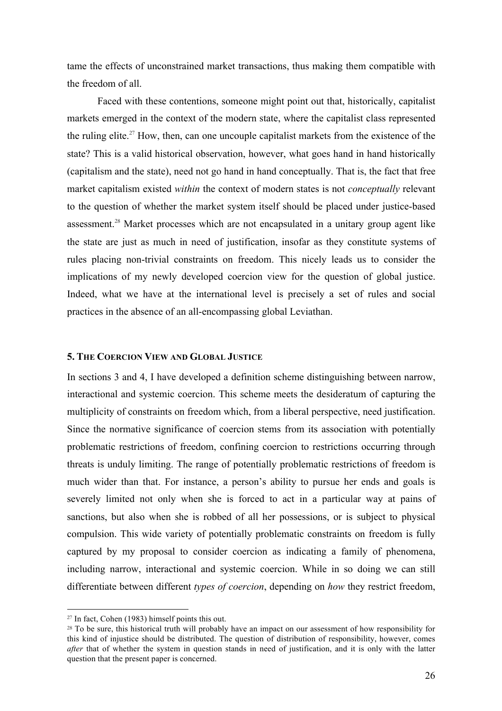tame the effects of unconstrained market transactions, thus making them compatible with the freedom of all.

Faced with these contentions, someone might point out that, historically, capitalist markets emerged in the context of the modern state, where the capitalist class represented the ruling elite.<sup>27</sup> How, then, can one uncouple capitalist markets from the existence of the state? This is a valid historical observation, however, what goes hand in hand historically (capitalism and the state), need not go hand in hand conceptually. That is, the fact that free market capitalism existed *within* the context of modern states is not *conceptually* relevant to the question of whether the market system itself should be placed under justice-based assessment.<sup>28</sup> Market processes which are not encapsulated in a unitary group agent like the state are just as much in need of justification, insofar as they constitute systems of rules placing non-trivial constraints on freedom. This nicely leads us to consider the implications of my newly developed coercion view for the question of global justice. Indeed, what we have at the international level is precisely a set of rules and social practices in the absence of an all-encompassing global Leviathan.

### **5. THE COERCION VIEW AND GLOBAL JUSTICE**

In sections 3 and 4, I have developed a definition scheme distinguishing between narrow, interactional and systemic coercion. This scheme meets the desideratum of capturing the multiplicity of constraints on freedom which, from a liberal perspective, need justification. Since the normative significance of coercion stems from its association with potentially problematic restrictions of freedom, confining coercion to restrictions occurring through threats is unduly limiting. The range of potentially problematic restrictions of freedom is much wider than that. For instance, a person's ability to pursue her ends and goals is severely limited not only when she is forced to act in a particular way at pains of sanctions, but also when she is robbed of all her possessions, or is subject to physical compulsion. This wide variety of potentially problematic constraints on freedom is fully captured by my proposal to consider coercion as indicating a family of phenomena, including narrow, interactional and systemic coercion. While in so doing we can still differentiate between different *types of coercion*, depending on *how* they restrict freedom,

<sup>27</sup> In fact, Cohen (1983) himself points this out.

<sup>&</sup>lt;sup>28</sup> To be sure, this historical truth will probably have an impact on our assessment of how responsibility for this kind of injustice should be distributed. The question of distribution of responsibility, however, comes *after* that of whether the system in question stands in need of justification, and it is only with the latter question that the present paper is concerned.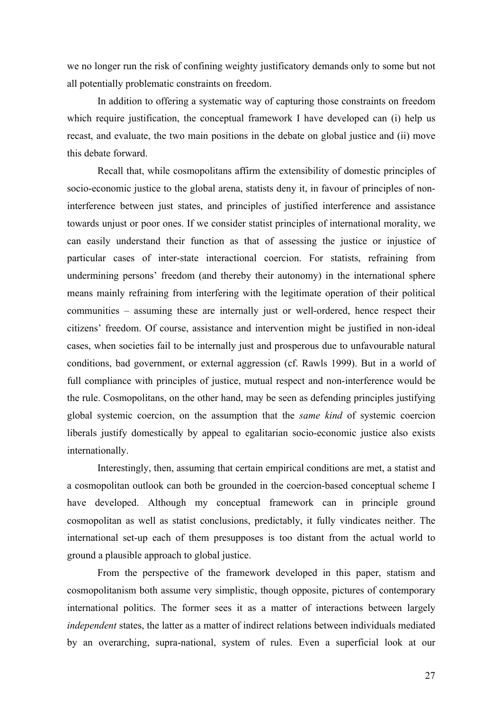we no longer run the risk of confining weighty justificatory demands only to some but not all potentially problematic constraints on freedom.

In addition to offering a systematic way of capturing those constraints on freedom which require justification, the conceptual framework I have developed can (i) help us recast, and evaluate, the two main positions in the debate on global justice and (ii) move this debate forward.

Recall that, while cosmopolitans affirm the extensibility of domestic principles of socio-economic justice to the global arena, statists deny it, in favour of principles of noninterference between just states, and principles of justified interference and assistance towards unjust or poor ones. If we consider statist principles of international morality, we can easily understand their function as that of assessing the justice or injustice of particular cases of inter-state interactional coercion. For statists, refraining from undermining persons' freedom (and thereby their autonomy) in the international sphere means mainly refraining from interfering with the legitimate operation of their political communities – assuming these are internally just or well-ordered, hence respect their citizens' freedom. Of course, assistance and intervention might be justified in non-ideal cases, when societies fail to be internally just and prosperous due to unfavourable natural conditions, bad government, or external aggression (cf. Rawls 1999). But in a world of full compliance with principles of justice, mutual respect and non-interference would be the rule. Cosmopolitans, on the other hand, may be seen as defending principles justifying global systemic coercion, on the assumption that the *same kind* of systemic coercion liberals justify domestically by appeal to egalitarian socio-economic justice also exists internationally.

Interestingly, then, assuming that certain empirical conditions are met, a statist and a cosmopolitan outlook can both be grounded in the coercion-based conceptual scheme I have developed. Although my conceptual framework can in principle ground cosmopolitan as well as statist conclusions, predictably, it fully vindicates neither. The international set-up each of them presupposes is too distant from the actual world to ground a plausible approach to global justice.

From the perspective of the framework developed in this paper, statism and cosmopolitanism both assume very simplistic, though opposite, pictures of contemporary international politics. The former sees it as a matter of interactions between largely *independent* states, the latter as a matter of indirect relations between individuals mediated by an overarching, supra-national, system of rules. Even a superficial look at our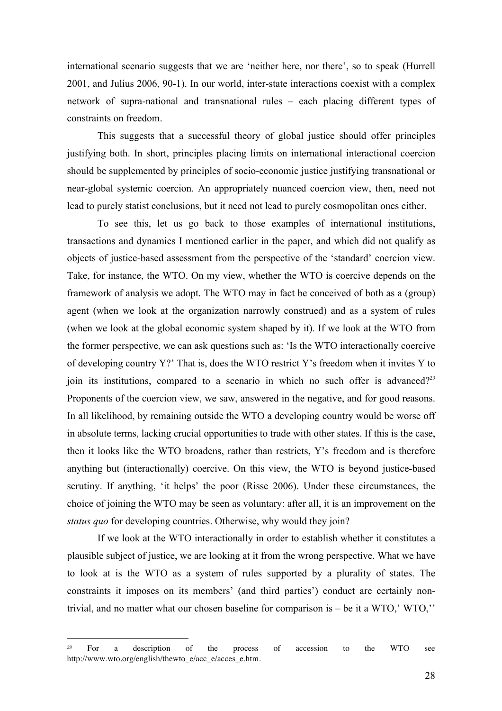international scenario suggests that we are 'neither here, nor there', so to speak (Hurrell 2001, and Julius 2006, 90-1). In our world, inter-state interactions coexist with a complex network of supra-national and transnational rules – each placing different types of constraints on freedom.

This suggests that a successful theory of global justice should offer principles justifying both. In short, principles placing limits on international interactional coercion should be supplemented by principles of socio-economic justice justifying transnational or near-global systemic coercion. An appropriately nuanced coercion view, then, need not lead to purely statist conclusions, but it need not lead to purely cosmopolitan ones either.

To see this, let us go back to those examples of international institutions, transactions and dynamics I mentioned earlier in the paper, and which did not qualify as objects of justice-based assessment from the perspective of the 'standard' coercion view. Take, for instance, the WTO. On my view, whether the WTO is coercive depends on the framework of analysis we adopt. The WTO may in fact be conceived of both as a (group) agent (when we look at the organization narrowly construed) and as a system of rules (when we look at the global economic system shaped by it). If we look at the WTO from the former perspective, we can ask questions such as: 'Is the WTO interactionally coercive of developing country Y?' That is, does the WTO restrict Y's freedom when it invites Y to join its institutions, compared to a scenario in which no such offer is advanced?<sup>29</sup> Proponents of the coercion view, we saw, answered in the negative, and for good reasons. In all likelihood, by remaining outside the WTO a developing country would be worse off in absolute terms, lacking crucial opportunities to trade with other states. If this is the case, then it looks like the WTO broadens, rather than restricts, Y's freedom and is therefore anything but (interactionally) coercive. On this view, the WTO is beyond justice-based scrutiny. If anything, 'it helps' the poor (Risse 2006). Under these circumstances, the choice of joining the WTO may be seen as voluntary: after all, it is an improvement on the *status quo* for developing countries. Otherwise, why would they join?

If we look at the WTO interactionally in order to establish whether it constitutes a plausible subject of justice, we are looking at it from the wrong perspective. What we have to look at is the WTO as a system of rules supported by a plurality of states. The constraints it imposes on its members' (and third parties') conduct are certainly nontrivial, and no matter what our chosen baseline for comparison is – be it a WTO,' WTO,''

 $29$  For a description of the process of accession to the WTO see http://www.wto.org/english/thewto\_e/acc\_e/acces\_e.htm.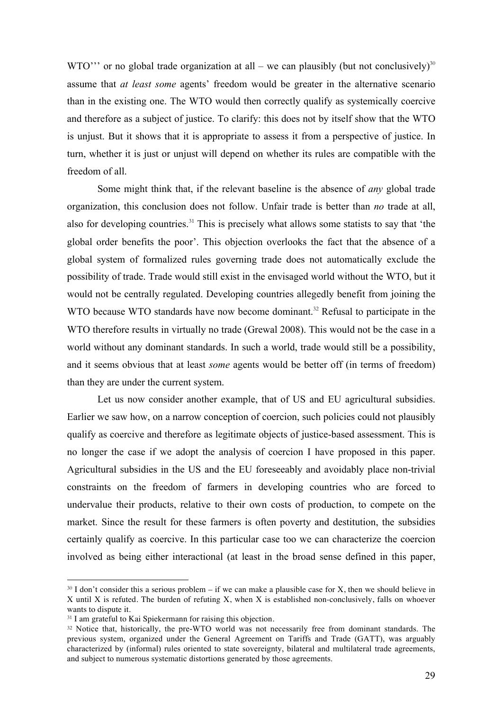WTO''' or no global trade organization at all – we can plausibly (but not conclusively)<sup>30</sup> assume that *at least some* agents' freedom would be greater in the alternative scenario than in the existing one. The WTO would then correctly qualify as systemically coercive and therefore as a subject of justice. To clarify: this does not by itself show that the WTO is unjust. But it shows that it is appropriate to assess it from a perspective of justice. In turn, whether it is just or unjust will depend on whether its rules are compatible with the freedom of all.

Some might think that, if the relevant baseline is the absence of *any* global trade organization, this conclusion does not follow. Unfair trade is better than *no* trade at all, also for developing countries.<sup>31</sup> This is precisely what allows some statists to say that 'the global order benefits the poor'. This objection overlooks the fact that the absence of a global system of formalized rules governing trade does not automatically exclude the possibility of trade. Trade would still exist in the envisaged world without the WTO, but it would not be centrally regulated. Developing countries allegedly benefit from joining the WTO because WTO standards have now become dominant.<sup>32</sup> Refusal to participate in the WTO therefore results in virtually no trade (Grewal 2008). This would not be the case in a world without any dominant standards. In such a world, trade would still be a possibility, and it seems obvious that at least *some* agents would be better off (in terms of freedom) than they are under the current system.

Let us now consider another example, that of US and EU agricultural subsidies. Earlier we saw how, on a narrow conception of coercion, such policies could not plausibly qualify as coercive and therefore as legitimate objects of justice-based assessment. This is no longer the case if we adopt the analysis of coercion I have proposed in this paper. Agricultural subsidies in the US and the EU foreseeably and avoidably place non-trivial constraints on the freedom of farmers in developing countries who are forced to undervalue their products, relative to their own costs of production, to compete on the market. Since the result for these farmers is often poverty and destitution, the subsidies certainly qualify as coercive. In this particular case too we can characterize the coercion involved as being either interactional (at least in the broad sense defined in this paper,

 $30$  I don't consider this a serious problem – if we can make a plausible case for X, then we should believe in X until X is refuted. The burden of refuting X, when X is established non-conclusively, falls on whoever wants to dispute it.

<sup>&</sup>lt;sup>31</sup> I am grateful to Kai Spiekermann for raising this objection.

<sup>&</sup>lt;sup>32</sup> Notice that, historically, the pre-WTO world was not necessarily free from dominant standards. The previous system, organized under the General Agreement on Tariffs and Trade (GATT), was arguably characterized by (informal) rules oriented to state sovereignty, bilateral and multilateral trade agreements, and subject to numerous systematic distortions generated by those agreements.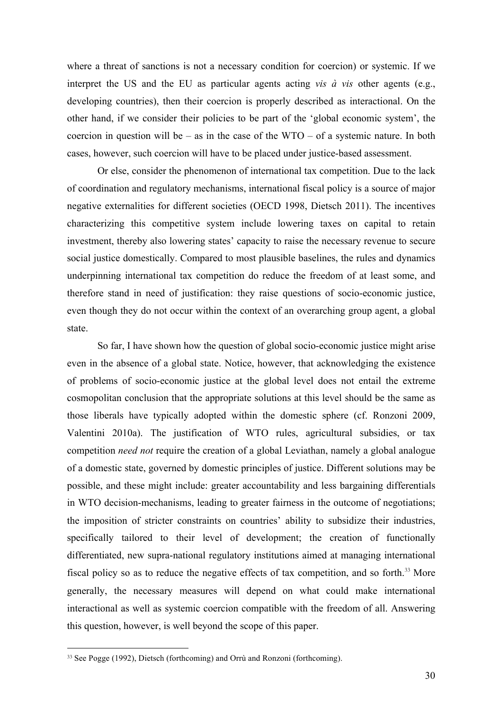where a threat of sanctions is not a necessary condition for coercion) or systemic. If we interpret the US and the EU as particular agents acting *vis à vis* other agents (e.g., developing countries), then their coercion is properly described as interactional. On the other hand, if we consider their policies to be part of the 'global economic system', the coercion in question will be – as in the case of the  $WTO - of a$  systemic nature. In both cases, however, such coercion will have to be placed under justice-based assessment.

Or else, consider the phenomenon of international tax competition. Due to the lack of coordination and regulatory mechanisms, international fiscal policy is a source of major negative externalities for different societies (OECD 1998, Dietsch 2011). The incentives characterizing this competitive system include lowering taxes on capital to retain investment, thereby also lowering states' capacity to raise the necessary revenue to secure social justice domestically. Compared to most plausible baselines, the rules and dynamics underpinning international tax competition do reduce the freedom of at least some, and therefore stand in need of justification: they raise questions of socio-economic justice, even though they do not occur within the context of an overarching group agent, a global state.

So far, I have shown how the question of global socio-economic justice might arise even in the absence of a global state. Notice, however, that acknowledging the existence of problems of socio-economic justice at the global level does not entail the extreme cosmopolitan conclusion that the appropriate solutions at this level should be the same as those liberals have typically adopted within the domestic sphere (cf. Ronzoni 2009, Valentini 2010a). The justification of WTO rules, agricultural subsidies, or tax competition *need not* require the creation of a global Leviathan, namely a global analogue of a domestic state, governed by domestic principles of justice. Different solutions may be possible, and these might include: greater accountability and less bargaining differentials in WTO decision-mechanisms, leading to greater fairness in the outcome of negotiations; the imposition of stricter constraints on countries' ability to subsidize their industries, specifically tailored to their level of development; the creation of functionally differentiated, new supra-national regulatory institutions aimed at managing international fiscal policy so as to reduce the negative effects of tax competition, and so forth.<sup>33</sup> More generally, the necessary measures will depend on what could make international interactional as well as systemic coercion compatible with the freedom of all. Answering this question, however, is well beyond the scope of this paper.

<sup>33</sup> See Pogge (1992), Dietsch (forthcoming) and Orrù and Ronzoni (forthcoming).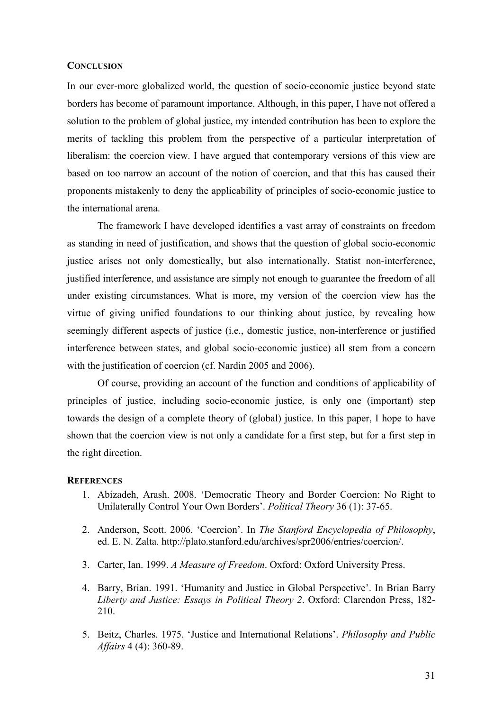### **CONCLUSION**

In our ever-more globalized world, the question of socio-economic justice beyond state borders has become of paramount importance. Although, in this paper, I have not offered a solution to the problem of global justice, my intended contribution has been to explore the merits of tackling this problem from the perspective of a particular interpretation of liberalism: the coercion view. I have argued that contemporary versions of this view are based on too narrow an account of the notion of coercion, and that this has caused their proponents mistakenly to deny the applicability of principles of socio-economic justice to the international arena.

The framework I have developed identifies a vast array of constraints on freedom as standing in need of justification, and shows that the question of global socio-economic justice arises not only domestically, but also internationally. Statist non-interference, justified interference, and assistance are simply not enough to guarantee the freedom of all under existing circumstances. What is more, my version of the coercion view has the virtue of giving unified foundations to our thinking about justice, by revealing how seemingly different aspects of justice (i.e., domestic justice, non-interference or justified interference between states, and global socio-economic justice) all stem from a concern with the justification of coercion (cf. Nardin 2005 and 2006).

Of course, providing an account of the function and conditions of applicability of principles of justice, including socio-economic justice, is only one (important) step towards the design of a complete theory of (global) justice. In this paper, I hope to have shown that the coercion view is not only a candidate for a first step, but for a first step in the right direction.

#### **REFERENCES**

- 1. Abizadeh, Arash. 2008. 'Democratic Theory and Border Coercion: No Right to Unilaterally Control Your Own Borders'. *Political Theory* 36 (1): 37-65.
- 2. Anderson, Scott. 2006. 'Coercion'. In *The Stanford Encyclopedia of Philosophy*, ed. E. N. Zalta. http://plato.stanford.edu/archives/spr2006/entries/coercion/.
- 3. Carter, Ian. 1999. *A Measure of Freedom*. Oxford: Oxford University Press.
- 4. Barry, Brian. 1991. 'Humanity and Justice in Global Perspective'. In Brian Barry *Liberty and Justice: Essays in Political Theory 2*. Oxford: Clarendon Press, 182- 210.
- 5. Beitz, Charles. 1975. 'Justice and International Relations'. *Philosophy and Public Affairs* 4 (4): 360-89.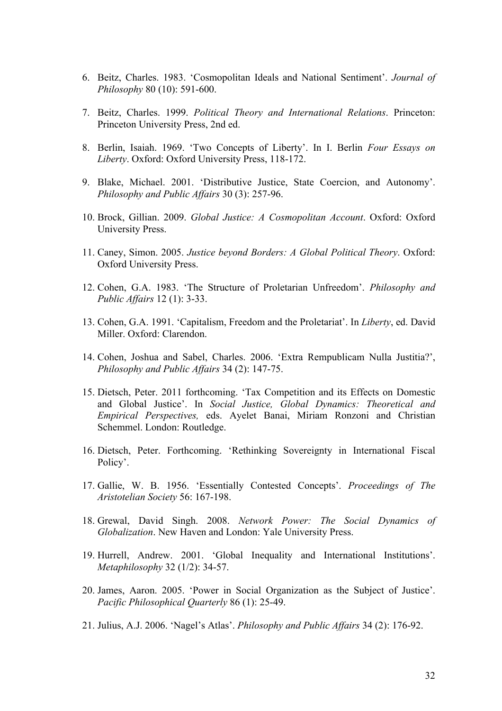- 6. Beitz, Charles. 1983. 'Cosmopolitan Ideals and National Sentiment'. *Journal of Philosophy* 80 (10): 591-600.
- 7. Beitz, Charles. 1999. *Political Theory and International Relations*. Princeton: Princeton University Press, 2nd ed.
- 8. Berlin, Isaiah. 1969. 'Two Concepts of Liberty'. In I. Berlin *Four Essays on Liberty*. Oxford: Oxford University Press, 118-172.
- 9. Blake, Michael. 2001. 'Distributive Justice, State Coercion, and Autonomy'. *Philosophy and Public Affairs* 30 (3): 257-96.
- 10. Brock, Gillian. 2009. *Global Justice: A Cosmopolitan Account*. Oxford: Oxford University Press.
- 11. Caney, Simon. 2005. *Justice beyond Borders: A Global Political Theory*. Oxford: Oxford University Press.
- 12. Cohen, G.A. 1983. 'The Structure of Proletarian Unfreedom'. *Philosophy and Public Affairs* 12 (1): 3-33.
- 13. Cohen, G.A. 1991. 'Capitalism, Freedom and the Proletariat'. In *Liberty*, ed. David Miller. Oxford: Clarendon.
- 14. Cohen, Joshua and Sabel, Charles. 2006. 'Extra Rempublicam Nulla Justitia?', *Philosophy and Public Affairs* 34 (2): 147-75.
- 15. Dietsch, Peter. 2011 forthcoming. 'Tax Competition and its Effects on Domestic and Global Justice'. In *Social Justice, Global Dynamics: Theoretical and Empirical Perspectives,* eds. Ayelet Banai, Miriam Ronzoni and Christian Schemmel. London: Routledge.
- 16. Dietsch, Peter. Forthcoming. 'Rethinking Sovereignty in International Fiscal Policy'.
- 17. Gallie, W. B. 1956. 'Essentially Contested Concepts'. *Proceedings of The Aristotelian Society* 56: 167-198.
- 18. Grewal, David Singh. 2008. *Network Power: The Social Dynamics of Globalization*. New Haven and London: Yale University Press.
- 19. Hurrell, Andrew. 2001. 'Global Inequality and International Institutions'. *Metaphilosophy* 32 (1/2): 34-57.
- 20. James, Aaron. 2005. 'Power in Social Organization as the Subject of Justice'. *Pacific Philosophical Quarterly* 86 (1): 25-49.
- 21. Julius, A.J. 2006. 'Nagel's Atlas'. *Philosophy and Public Affairs* 34 (2): 176-92.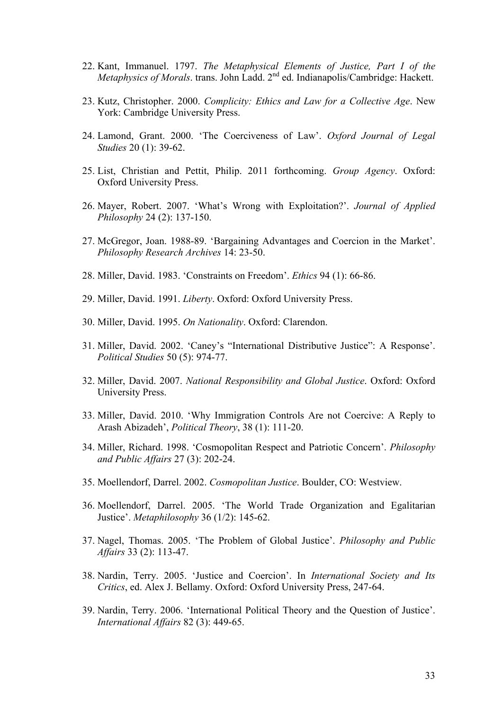- 22. Kant, Immanuel. 1797. *The Metaphysical Elements of Justice, Part I of the Metaphysics of Morals*. trans. John Ladd. 2<sup>nd</sup> ed. Indianapolis/Cambridge: Hackett.
- 23. Kutz, Christopher. 2000. *Complicity: Ethics and Law for a Collective Age*. New York: Cambridge University Press.
- 24. Lamond, Grant. 2000. 'The Coerciveness of Law'. *Oxford Journal of Legal Studies* 20 (1): 39-62.
- 25. List, Christian and Pettit, Philip. 2011 forthcoming. *Group Agency*. Oxford: Oxford University Press.
- 26. Mayer, Robert. 2007. 'What's Wrong with Exploitation?'. *Journal of Applied Philosophy* 24 (2): 137-150.
- 27. McGregor, Joan. 1988-89. 'Bargaining Advantages and Coercion in the Market'. *Philosophy Research Archives* 14: 23-50.
- 28. Miller, David. 1983. 'Constraints on Freedom'. *Ethics* 94 (1): 66-86.
- 29. Miller, David. 1991. *Liberty*. Oxford: Oxford University Press.
- 30. Miller, David. 1995. *On Nationality*. Oxford: Clarendon.
- 31. Miller, David. 2002. 'Caney's "International Distributive Justice": A Response'. *Political Studies* 50 (5): 974-77.
- 32. Miller, David. 2007. *National Responsibility and Global Justice*. Oxford: Oxford University Press.
- 33. Miller, David. 2010. 'Why Immigration Controls Are not Coercive: A Reply to Arash Abizadeh', *Political Theory*, 38 (1): 111-20.
- 34. Miller, Richard. 1998. 'Cosmopolitan Respect and Patriotic Concern'. *Philosophy and Public Affairs* 27 (3): 202-24.
- 35. Moellendorf, Darrel. 2002. *Cosmopolitan Justice*. Boulder, CO: Westview.
- 36. Moellendorf, Darrel. 2005. 'The World Trade Organization and Egalitarian Justice'. *Metaphilosophy* 36 (1/2): 145-62.
- 37. Nagel, Thomas. 2005. 'The Problem of Global Justice'. *Philosophy and Public Affairs* 33 (2): 113-47.
- 38. Nardin, Terry. 2005. 'Justice and Coercion'. In *International Society and Its Critics*, ed. Alex J. Bellamy. Oxford: Oxford University Press, 247-64.
- 39. Nardin, Terry. 2006. 'International Political Theory and the Question of Justice'. *International Affairs* 82 (3): 449-65.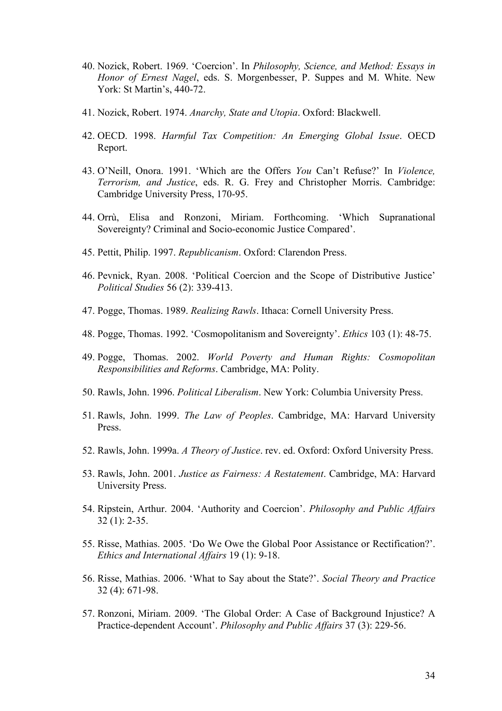- 40. Nozick, Robert. 1969. 'Coercion'. In *Philosophy, Science, and Method: Essays in Honor of Ernest Nagel*, eds. S. Morgenbesser, P. Suppes and M. White. New York: St Martin's, 440-72.
- 41. Nozick, Robert. 1974. *Anarchy, State and Utopia*. Oxford: Blackwell.
- 42. OECD. 1998. *Harmful Tax Competition: An Emerging Global Issue*. OECD Report.
- 43. O'Neill, Onora. 1991. 'Which are the Offers *You* Can't Refuse?' In *Violence, Terrorism, and Justice*, eds. R. G. Frey and Christopher Morris. Cambridge: Cambridge University Press, 170-95.
- 44. Orrù, Elisa and Ronzoni, Miriam. Forthcoming. 'Which Supranational Sovereignty? Criminal and Socio-economic Justice Compared'.
- 45. Pettit, Philip. 1997. *Republicanism*. Oxford: Clarendon Press.
- 46. Pevnick, Ryan. 2008. 'Political Coercion and the Scope of Distributive Justice' *Political Studies* 56 (2): 339-413.
- 47. Pogge, Thomas. 1989. *Realizing Rawls*. Ithaca: Cornell University Press.
- 48. Pogge, Thomas. 1992. 'Cosmopolitanism and Sovereignty'. *Ethics* 103 (1): 48-75.
- 49. Pogge, Thomas. 2002. *World Poverty and Human Rights: Cosmopolitan Responsibilities and Reforms*. Cambridge, MA: Polity.
- 50. Rawls, John. 1996. *Political Liberalism*. New York: Columbia University Press.
- 51. Rawls, John. 1999. *The Law of Peoples*. Cambridge, MA: Harvard University Press.
- 52. Rawls, John. 1999a. *A Theory of Justice*. rev. ed. Oxford: Oxford University Press.
- 53. Rawls, John. 2001. *Justice as Fairness: A Restatement*. Cambridge, MA: Harvard University Press.
- 54. Ripstein, Arthur. 2004. 'Authority and Coercion'. *Philosophy and Public Affairs* 32 (1): 2-35.
- 55. Risse, Mathias. 2005. 'Do We Owe the Global Poor Assistance or Rectification?'. *Ethics and International Affairs* 19 (1): 9-18.
- 56. Risse, Mathias. 2006. 'What to Say about the State?'. *Social Theory and Practice* 32 (4): 671-98.
- 57. Ronzoni, Miriam. 2009. 'The Global Order: A Case of Background Injustice? A Practice-dependent Account'. *Philosophy and Public Affairs* 37 (3): 229-56.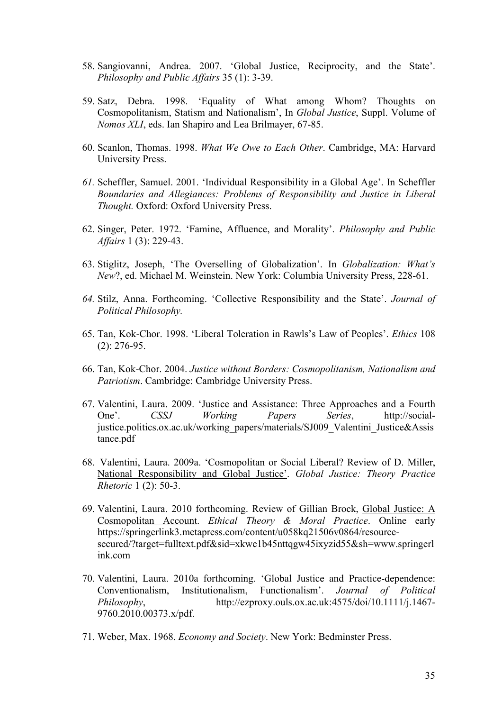- 58. Sangiovanni, Andrea. 2007. 'Global Justice, Reciprocity, and the State'. *Philosophy and Public Affairs* 35 (1): 3-39.
- 59. Satz, Debra. 1998. 'Equality of What among Whom? Thoughts on Cosmopolitanism, Statism and Nationalism', In *Global Justice*, Suppl. Volume of *Nomos XLI*, eds. Ian Shapiro and Lea Brilmayer, 67-85.
- 60. Scanlon, Thomas. 1998. *What We Owe to Each Other*. Cambridge, MA: Harvard University Press.
- *61.* Scheffler, Samuel. 2001. 'Individual Responsibility in a Global Age'. In Scheffler *Boundaries and Allegiances: Problems of Responsibility and Justice in Liberal Thought.* Oxford: Oxford University Press.
- 62. Singer, Peter. 1972. 'Famine, Affluence, and Morality'. *Philosophy and Public Affairs* 1 (3): 229-43.
- 63. Stiglitz, Joseph, 'The Overselling of Globalization'. In *Globalization: What's New*?, ed. Michael M. Weinstein. New York: Columbia University Press, 228-61.
- *64.* Stilz, Anna. Forthcoming. 'Collective Responsibility and the State'. *Journal of Political Philosophy.*
- 65. Tan, Kok-Chor. 1998. 'Liberal Toleration in Rawls's Law of Peoples'. *Ethics* 108 (2): 276-95.
- 66. Tan, Kok-Chor. 2004. *Justice without Borders: Cosmopolitanism, Nationalism and Patriotism*. Cambridge: Cambridge University Press.
- 67. Valentini, Laura. 2009. 'Justice and Assistance: Three Approaches and a Fourth One'. *CSSJ Working Papers Series*, http://socialjustice.politics.ox.ac.uk/working\_papers/materials/SJ009\_Valentini\_Justice&Assis tance.pdf
- 68. Valentini, Laura. 2009a. 'Cosmopolitan or Social Liberal? Review of D. Miller, National Responsibility and Global Justice'. *Global Justice: Theory Practice Rhetoric* 1 (2): 50-3.
- 69. Valentini, Laura. 2010 forthcoming. Review of Gillian Brock, Global Justice: A Cosmopolitan Account. *Ethical Theory & Moral Practice*. Online early https://springerlink3.metapress.com/content/u058kq21506v0864/resourcesecured/?target=fulltext.pdf&sid=xkwe1b45nttqgw45ixyzid55&sh=www.springerl ink.com
- 70. Valentini, Laura. 2010a forthcoming. 'Global Justice and Practice-dependence: Conventionalism, Institutionalism, Functionalism'. *Journal of Political Philosophy*, http://ezproxy.ouls.ox.ac.uk:4575/doi/10.1111/j.1467- 9760.2010.00373.x/pdf.
- 71. Weber, Max. 1968. *Economy and Society*. New York: Bedminster Press.